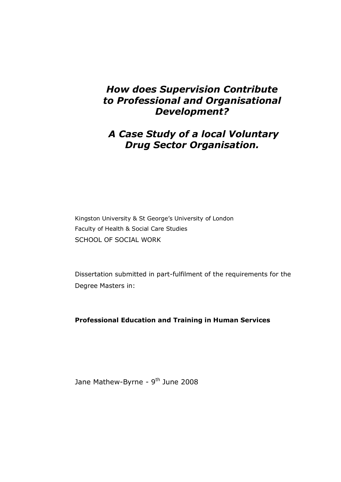# *How does Supervision Contribute to Professional and Organisational Development?*

# *A Case Study of a local Voluntary Drug Sector Organisation.*

Kingston University & St George's University of London Faculty of Health & Social Care Studies SCHOOL OF SOCIAL WORK

Dissertation submitted in part-fulfilment of the requirements for the Degree Masters in:

**Professional Education and Training in Human Services** 

Jane Mathew-Byrne - 9<sup>th</sup> June 2008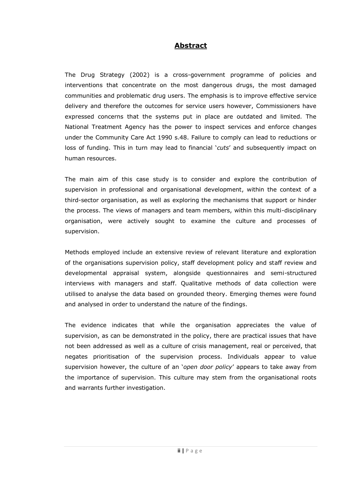### **Abstract**

The Drug Strategy (2002) is a cross-government programme of policies and interventions that concentrate on the most dangerous drugs, the most damaged communities and problematic drug users. The emphasis is to improve effective service delivery and therefore the outcomes for service users however, Commissioners have expressed concerns that the systems put in place are outdated and limited. The National Treatment Agency has the power to inspect services and enforce changes under the Community Care Act 1990 s.48. Failure to comply can lead to reductions or loss of funding. This in turn may lead to financial '*cuts*' and subsequently impact on human resources.

The main aim of this case study is to consider and explore the contribution of supervision in professional and organisational development, within the context of a third-sector organisation, as well as exploring the mechanisms that support or hinder the process. The views of managers and team members, within this multi-disciplinary organisation, were actively sought to examine the culture and processes of supervision.

Methods employed include an extensive review of relevant literature and exploration of the organisations supervision policy, staff development policy and staff review and developmental appraisal system, alongside questionnaires and semi-structured interviews with managers and staff. Qualitative methods of data collection were utilised to analyse the data based on grounded theory. Emerging themes were found and analysed in order to understand the nature of the findings.

The evidence indicates that while the organisation appreciates the value of supervision, as can be demonstrated in the policy, there are practical issues that have not been addressed as well as a culture of crisis management, real or perceived, that negates prioritisation of the supervision process. Individuals appear to value supervision however, the culture of an '*open door policy*' appears to take away from the importance of supervision. This culture may stem from the organisational roots and warrants further investigation.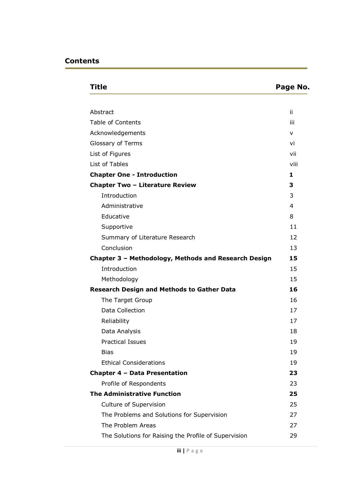| Title                                                | Page No. |
|------------------------------------------------------|----------|
|                                                      |          |
| Abstract                                             | ii       |
| <b>Table of Contents</b>                             | iii      |
| Acknowledgements                                     | v        |
| Glossary of Terms                                    | vi       |
| List of Figures                                      | vii      |
| List of Tables                                       | viii     |
| <b>Chapter One - Introduction</b>                    | 1        |
| <b>Chapter Two - Literature Review</b>               | 3        |
| Introduction                                         | 3        |
| Administrative                                       | 4        |
| Educative                                            | 8        |
| Supportive                                           | 11       |
| Summary of Literature Research                       | 12       |
| Conclusion                                           | 13       |
| Chapter 3 - Methodology, Methods and Research Design | 15       |
| Introduction                                         | 15       |
| Methodology                                          | 15       |
| <b>Research Design and Methods to Gather Data</b>    | 16       |
| The Target Group                                     | 16       |
| Data Collection                                      | 17       |
| Reliability                                          | 17       |
| Data Analysis                                        | 18       |
| <b>Practical Issues</b>                              | 19       |
| <b>Bias</b>                                          | 19       |
| <b>Ethical Considerations</b>                        | 19       |
| Chapter 4 - Data Presentation                        | 23       |
| Profile of Respondents                               | 23       |
| <b>The Administrative Function</b>                   | 25       |
| Culture of Supervision                               | 25       |
| The Problems and Solutions for Supervision           | 27       |
| The Problem Areas                                    | 27       |
| The Solutions for Raising the Profile of Supervision | 29       |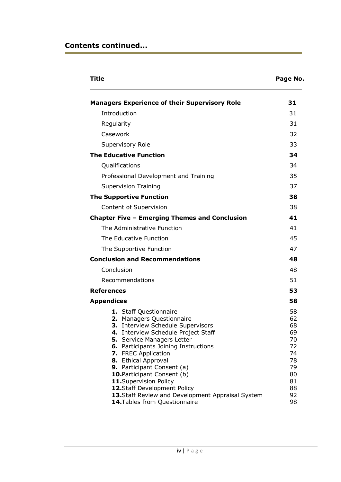## **Contents continued...**

| Title                                                                                                                                                                                                                                                                                                                                     | Page No.                                                       |
|-------------------------------------------------------------------------------------------------------------------------------------------------------------------------------------------------------------------------------------------------------------------------------------------------------------------------------------------|----------------------------------------------------------------|
| <b>Managers Experience of their Supervisory Role</b>                                                                                                                                                                                                                                                                                      | 31                                                             |
| Introduction                                                                                                                                                                                                                                                                                                                              | 31                                                             |
| Regularity                                                                                                                                                                                                                                                                                                                                | 31                                                             |
| Casework                                                                                                                                                                                                                                                                                                                                  | 32                                                             |
| Supervisory Role                                                                                                                                                                                                                                                                                                                          | 33                                                             |
| <b>The Educative Function</b>                                                                                                                                                                                                                                                                                                             | 34                                                             |
| Qualifications                                                                                                                                                                                                                                                                                                                            | 34                                                             |
| Professional Development and Training                                                                                                                                                                                                                                                                                                     | 35                                                             |
| <b>Supervision Training</b>                                                                                                                                                                                                                                                                                                               | 37                                                             |
| <b>The Supportive Function</b>                                                                                                                                                                                                                                                                                                            | 38                                                             |
| Content of Supervision                                                                                                                                                                                                                                                                                                                    | 38                                                             |
| <b>Chapter Five - Emerging Themes and Conclusion</b>                                                                                                                                                                                                                                                                                      | 41                                                             |
| The Administrative Function                                                                                                                                                                                                                                                                                                               | 41                                                             |
| The Educative Function                                                                                                                                                                                                                                                                                                                    | 45                                                             |
| The Supportive Function                                                                                                                                                                                                                                                                                                                   | 47                                                             |
| <b>Conclusion and Recommendations</b>                                                                                                                                                                                                                                                                                                     | 48                                                             |
| Conclusion                                                                                                                                                                                                                                                                                                                                | 48                                                             |
| Recommendations                                                                                                                                                                                                                                                                                                                           | 51                                                             |
| <b>References</b>                                                                                                                                                                                                                                                                                                                         | 53                                                             |
| <b>Appendices</b>                                                                                                                                                                                                                                                                                                                         | 58                                                             |
| 1. Staff Questionnaire<br>2. Managers Questionnaire<br>3. Interview Schedule Supervisors<br>4. Interview Schedule Project Staff<br>5. Service Managers Letter<br>6. Participants Joining Instructions<br>7. FREC Application<br>8. Ethical Approval<br>9. Participant Consent (a)<br>10. Participant Consent (b)<br>11.Supervision Policy | 58<br>62<br>68<br>69<br>70<br>72<br>74<br>78<br>79<br>80<br>81 |
| 12.Staff Development Policy<br>13. Staff Review and Development Appraisal System<br>14. Tables from Questionnaire                                                                                                                                                                                                                         | 88<br>92<br>98                                                 |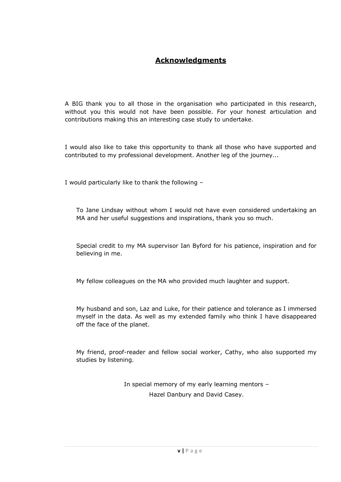## **Acknowledgments**

A BIG thank you to all those in the organisation who participated in this research, without you this would not have been possible. For your honest articulation and contributions making this an interesting case study to undertake.

I would also like to take this opportunity to thank all those who have supported and contributed to my professional development. Another leg of the journey...

I would particularly like to thank the following –

To Jane Lindsay without whom I would not have even considered undertaking an MA and her useful suggestions and inspirations, thank you so much.

Special credit to my MA supervisor Ian Byford for his patience, inspiration and for believing in me.

My fellow colleagues on the MA who provided much laughter and support.

My husband and son, Laz and Luke, for their patience and tolerance as I immersed myself in the data. As well as my extended family who think I have disappeared off the face of the planet.

My friend, proof-reader and fellow social worker, Cathy, who also supported my studies by listening.

> In special memory of my early learning mentors – Hazel Danbury and David Casey.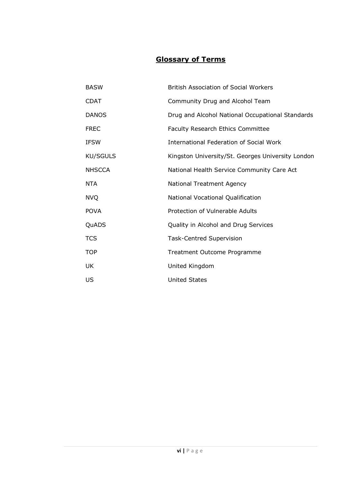## **Glossary of Terms**

| <b>BASW</b>     | <b>British Association of Social Workers</b>      |
|-----------------|---------------------------------------------------|
| <b>CDAT</b>     | Community Drug and Alcohol Team                   |
| <b>DANOS</b>    | Drug and Alcohol National Occupational Standards  |
| <b>FREC</b>     | Faculty Research Ethics Committee                 |
| <b>IFSW</b>     | International Federation of Social Work           |
| <b>KU/SGULS</b> | Kingston University/St. Georges University London |
| <b>NHSCCA</b>   | National Health Service Community Care Act        |
| NTA             | <b>National Treatment Agency</b>                  |
| <b>NVQ</b>      | National Vocational Qualification                 |
| <b>POVA</b>     | Protection of Vulnerable Adults                   |
| QuADS           | Quality in Alcohol and Drug Services              |
| <b>TCS</b>      | <b>Task-Centred Supervision</b>                   |
| <b>TOP</b>      | Treatment Outcome Programme                       |
| UK              | United Kingdom                                    |
| US              | <b>United States</b>                              |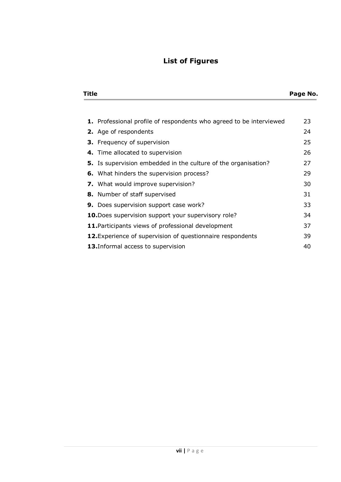# **List of Figures**

| <b>Title</b> | Page No. |
|--------------|----------|
|              |          |

| 1. Professional profile of respondents who agreed to be interviewed | 23 |  |  |  |  |  |
|---------------------------------------------------------------------|----|--|--|--|--|--|
| 2. Age of respondents                                               | 24 |  |  |  |  |  |
| <b>3.</b> Frequency of supervision                                  | 25 |  |  |  |  |  |
| 4. Time allocated to supervision                                    | 26 |  |  |  |  |  |
| 5. Is supervision embedded in the culture of the organisation?      | 27 |  |  |  |  |  |
| 6. What hinders the supervision process?                            | 29 |  |  |  |  |  |
| <b>7.</b> What would improve supervision?                           | 30 |  |  |  |  |  |
| 8. Number of staff supervised                                       | 31 |  |  |  |  |  |
| 9. Does supervision support case work?                              | 33 |  |  |  |  |  |
| 10. Does supervision support your supervisory role?                 | 34 |  |  |  |  |  |
| 11. Participants views of professional development                  | 37 |  |  |  |  |  |
| 12. Experience of supervision of questionnaire respondents<br>39    |    |  |  |  |  |  |
| 13. Informal access to supervision                                  | 40 |  |  |  |  |  |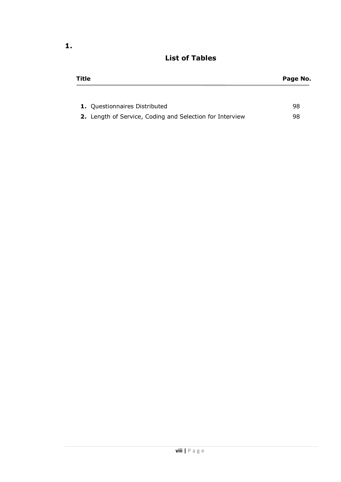| Title                                                    | Page No. |
|----------------------------------------------------------|----------|
|                                                          |          |
| <b>1.</b> Questionnaires Distributed                     | 98       |
| 2. Length of Service, Coding and Selection for Interview | 98       |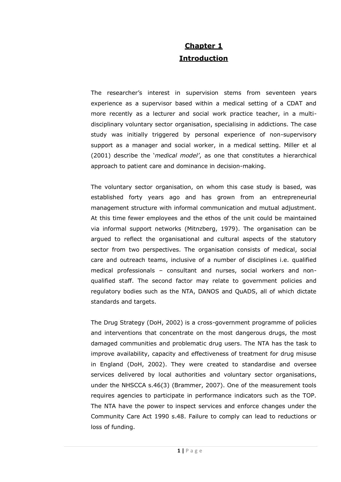# **Chapter 1 Introduction**

The researcher's interest in supervision stems from seventeen years experience as a supervisor based within a medical setting of a CDAT and more recently as a lecturer and social work practice teacher, in a multidisciplinary voluntary sector organisation, specialising in addictions. The case study was initially triggered by personal experience of non-supervisory support as a manager and social worker, in a medical setting. Miller et al (2001) describe the '*medical model"*, as one that constitutes a hierarchical approach to patient care and dominance in decision-making.

The voluntary sector organisation, on whom this case study is based, was established forty years ago and has grown from an entrepreneurial management structure with informal communication and mutual adjustment. At this time fewer employees and the ethos of the unit could be maintained via informal support networks (Mitnzberg, 1979). The organisation can be argued to reflect the organisational and cultural aspects of the statutory sector from two perspectives. The organisation consists of medical, social care and outreach teams, inclusive of a number of disciplines i.e. qualified medical professionals – consultant and nurses, social workers and nonqualified staff. The second factor may relate to government policies and regulatory bodies such as the NTA, DANOS and QuADS, all of which dictate standards and targets.

The Drug Strategy (DoH, 2002) is a cross-government programme of policies and interventions that concentrate on the most dangerous drugs, the most damaged communities and problematic drug users. The NTA has the task to improve availability, capacity and effectiveness of treatment for drug misuse in England (DoH, 2002). They were created to standardise and oversee services delivered by local authorities and voluntary sector organisations, under the NHSCCA s.46(3) (Brammer, 2007). One of the measurement tools requires agencies to participate in performance indicators such as the TOP. The NTA have the power to inspect services and enforce changes under the Community Care Act 1990 s.48. Failure to comply can lead to reductions or loss of funding.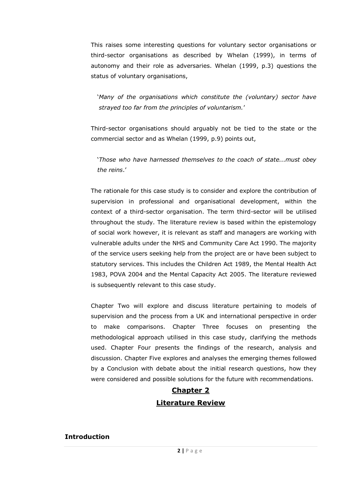This raises some interesting questions for voluntary sector organisations or third-sector organisations as described by Whelan (1999), in terms of autonomy and their role as adversaries. Whelan (1999, p.3) questions the status of voluntary organisations,

'*Many of the organisations which constitute the (voluntary) sector have strayed too far from the principles of voluntarism.*'

Third-sector organisations should arguably not be tied to the state or the commercial sector and as Whelan (1999, p.9) points out,

'*Those who have harnessed themselves to the coach of state...must obey the reins*.'

The rationale for this case study is to consider and explore the contribution of supervision in professional and organisational development, within the context of a third-sector organisation. The term third-sector will be utilised throughout the study. The literature review is based within the epistemology of social work however, it is relevant as staff and managers are working with vulnerable adults under the NHS and Community Care Act 1990. The majority of the service users seeking help from the project are or have been subject to statutory services. This includes the Children Act 1989, the Mental Health Act 1983, POVA 2004 and the Mental Capacity Act 2005. The literature reviewed is subsequently relevant to this case study.

Chapter Two will explore and discuss literature pertaining to models of supervision and the process from a UK and international perspective in order to make comparisons. Chapter Three focuses on presenting the methodological approach utilised in this case study, clarifying the methods used. Chapter Four presents the findings of the research, analysis and discussion. Chapter Five explores and analyses the emerging themes followed by a Conclusion with debate about the initial research questions, how they were considered and possible solutions for the future with recommendations.

# **Chapter 2 Literature Review**

#### **Introduction**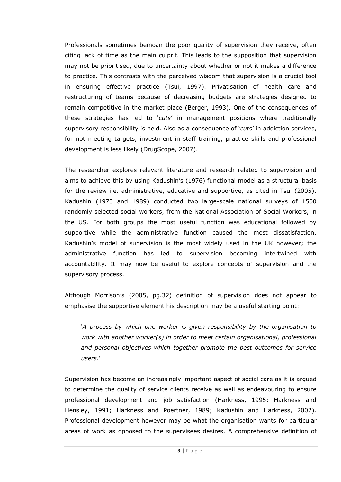Professionals sometimes bemoan the poor quality of supervision they receive, often citing lack of time as the main culprit. This leads to the supposition that supervision may not be prioritised, due to uncertainty about whether or not it makes a difference to practice. This contrasts with the perceived wisdom that supervision is a crucial tool in ensuring effective practice (Tsui, 1997). Privatisation of health care and restructuring of teams because of decreasing budgets are strategies designed to remain competitive in the market place (Berger, 1993). One of the consequences of these strategies has led to '*cuts*' in management positions where traditionally supervisory responsibility is held. Also as a consequence of '*cuts*' in addiction services, for not meeting targets, investment in staff training, practice skills and professional development is less likely (DrugScope, 2007).

The researcher explores relevant literature and research related to supervision and aims to achieve this by using Kadushin's (1976) functional model as a structural basis for the review i.e. administrative, educative and supportive, as cited in Tsui (2005). Kadushin (1973 and 1989) conducted two large-scale national surveys of 1500 randomly selected social workers, from the National Association of Social Workers, in the US. For both groups the most useful function was educational followed by supportive while the administrative function caused the most dissatisfaction. Kadushin's model of supervision is the most widely used in the UK however; the administrative function has led to supervision becoming intertwined with accountability. It may now be useful to explore concepts of supervision and the supervisory process.

Although Morrison's (2005, pg.32) definition of supervision does not appear to emphasise the supportive element his description may be a useful starting point:

'*A process by which one worker is given responsibility by the organisation to work with another worker(s) in order to meet certain organisational, professional and personal objectives which together promote the best outcomes for service users.*'

Supervision has become an increasingly important aspect of social care as it is argued to determine the quality of service clients receive as well as endeavouring to ensure professional development and job satisfaction (Harkness, 1995; Harkness and Hensley, 1991; Harkness and Poertner, 1989; Kadushin and Harkness, 2002). Professional development however may be what the organisation wants for particular areas of work as opposed to the supervisees desires. A comprehensive definition of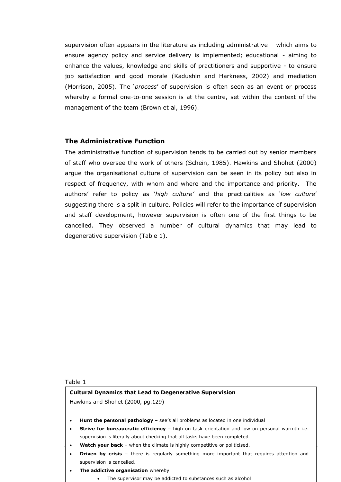supervision often appears in the literature as including administrative – which aims to ensure agency policy and service delivery is implemented; educational - aiming to enhance the values, knowledge and skills of practitioners and supportive - to ensure job satisfaction and good morale (Kadushin and Harkness, 2002) and mediation (Morrison, 2005). The '*process*' of supervision is often seen as an event or process whereby a formal one-to-one session is at the centre, set within the context of the management of the team (Brown et al, 1996).

#### **The Administrative Function**

The administrative function of supervision tends to be carried out by senior members of staff who oversee the work of others (Schein, 1985). Hawkins and Shohet (2000) argue the organisational culture of supervision can be seen in its policy but also in respect of frequency, with whom and where and the importance and priority. The authors' refer to policy as '*high culture"* and the practicalities as '*low culture*' suggesting there is a split in culture. Policies will refer to the importance of supervision and staff development, however supervision is often one of the first things to be cancelled. They observed a number of cultural dynamics that may lead to degenerative supervision (Table 1).

#### Table 1

## **Cultural Dynamics that Lead to Degenerative Supervision**

Hawkins and Shohet (2000, pg.129)

- **Hunt the personal pathology** see's all problems as located in one individual
- **Strive for bureaucratic efficiency** high on task orientation and low on personal warmth i.e. supervision is literally about checking that all tasks have been completed.
- Watch your back when the climate is highly competitive or politicised.
- **Driven by crisis** there is regularly something more important that requires attention and supervision is cancelled.
- **The addictive organisation** whereby
	- The supervisor may be addicted to substances such as alcohol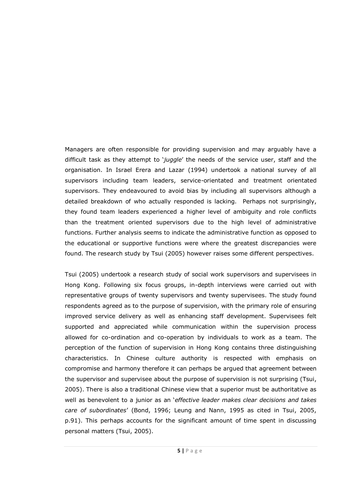Managers are often responsible for providing supervision and may arguably have a difficult task as they attempt to '*juggle*' the needs of the service user, staff and the organisation. In Israel Erera and Lazar (1994) undertook a national survey of all supervisors including team leaders, service-orientated and treatment orientated supervisors. They endeavoured to avoid bias by including all supervisors although a detailed breakdown of who actually responded is lacking. Perhaps not surprisingly, they found team leaders experienced a higher level of ambiguity and role conflicts than the treatment oriented supervisors due to the high level of administrative functions. Further analysis seems to indicate the administrative function as opposed to the educational or supportive functions were where the greatest discrepancies were found. The research study by Tsui (2005) however raises some different perspectives.

Tsui (2005) undertook a research study of social work supervisors and supervisees in Hong Kong. Following six focus groups, in-depth interviews were carried out with representative groups of twenty supervisors and twenty supervisees. The study found respondents agreed as to the purpose of supervision, with the primary role of ensuring improved service delivery as well as enhancing staff development. Supervisees felt supported and appreciated while communication within the supervision process allowed for co-ordination and co-operation by individuals to work as a team. The perception of the function of supervision in Hong Kong contains three distinguishing characteristics. In Chinese culture authority is respected with emphasis on compromise and harmony therefore it can perhaps be argued that agreement between the supervisor and supervisee about the purpose of supervision is not surprising (Tsui, 2005). There is also a traditional Chinese view that a superior must be authoritative as well as benevolent to a junior as an '*effective leader makes clear decisions and takes care of subordinates*' (Bond, 1996; Leung and Nann, 1995 as cited in Tsui, 2005, p.91). This perhaps accounts for the significant amount of time spent in discussing personal matters (Tsui, 2005).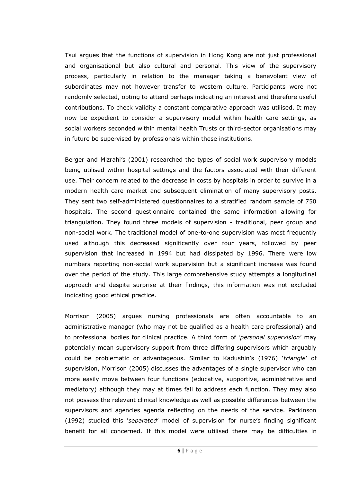Tsui argues that the functions of supervision in Hong Kong are not just professional and organisational but also cultural and personal. This view of the supervisory process, particularly in relation to the manager taking a benevolent view of subordinates may not however transfer to western culture. Participants were not randomly selected, opting to attend perhaps indicating an interest and therefore useful contributions. To check validity a constant comparative approach was utilised. It may now be expedient to consider a supervisory model within health care settings, as social workers seconded within mental health Trusts or third-sector organisations may in future be supervised by professionals within these institutions.

Berger and Mizrahi's (2001) researched the types of social work supervisory models being utilised within hospital settings and the factors associated with their different use. Their concern related to the decrease in costs by hospitals in order to survive in a modern health care market and subsequent elimination of many supervisory posts. They sent two self-administered questionnaires to a stratified random sample of 750 hospitals. The second questionnaire contained the same information allowing for triangulation. They found three models of supervision - traditional, peer group and non-social work. The traditional model of one-to-one supervision was most frequently used although this decreased significantly over four years, followed by peer supervision that increased in 1994 but had dissipated by 1996. There were low numbers reporting non-social work supervision but a significant increase was found over the period of the study. This large comprehensive study attempts a longitudinal approach and despite surprise at their findings, this information was not excluded indicating good ethical practice.

Morrison (2005) argues nursing professionals are often accountable to an administrative manager (who may not be qualified as a health care professional) and to professional bodies for clinical practice. A third form of '*personal supervision*' may potentially mean supervisory support from three differing supervisors which arguably could be problematic or advantageous. Similar to Kadushin's (1976) '*triangle*' of supervision, Morrison (2005) discusses the advantages of a single supervisor who can more easily move between four functions (educative, supportive, administrative and mediatory) although they may at times fail to address each function. They may also not possess the relevant clinical knowledge as well as possible differences between the supervisors and agencies agenda reflecting on the needs of the service. Parkinson (1992) studied this '*separated*' model of supervision for nurse's finding significant benefit for all concerned. If this model were utilised there may be difficulties in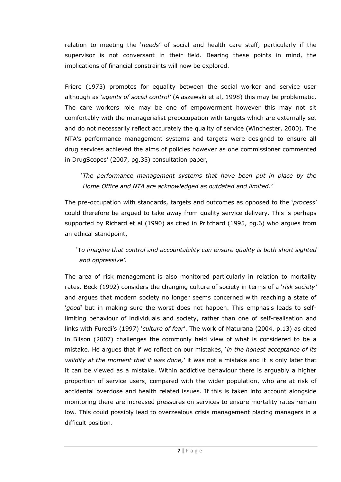relation to meeting the '*needs*' of social and health care staff, particularly if the supervisor is not conversant in their field. Bearing these points in mind, the implications of financial constraints will now be explored.

Friere (1973) promotes for equality between the social worker and service user although as '*agents of social control"* (Alaszewski et al, 1998) this may be problematic. The care workers role may be one of empowerment however this may not sit comfortably with the managerialist preoccupation with targets which are externally set and do not necessarily reflect accurately the quality of service (Winchester, 2000). The NTA's performance management systems and targets were designed to ensure all drug services achieved the aims of policies however as one commissioner commented in DrugScopes' (2007, pg.35) consultation paper,

'*The performance management systems that have been put in place by the Home Office and NTA are acknowledged as outdated and limited."*

The pre-occupation with standards, targets and outcomes as opposed to the '*process*' could therefore be argued to take away from quality service delivery. This is perhaps supported by Richard et al (1990) as cited in Pritchard (1995, pg.6) who argues from an ethical standpoint,

## 'T*o imagine that control and accountability can ensure quality is both short sighted and oppressive".*

The area of risk management is also monitored particularly in relation to mortality rates. Beck (1992) considers the changing culture of society in terms of a '*risk society"*  and argues that modern society no longer seems concerned with reaching a state of '*good*' but in making sure the worst does not happen. This emphasis leads to selflimiting behaviour of individuals and society, rather than one of self-realisation and links with Furedi's (1997) '*culture of fear*'. The work of Maturana (2004, p.13) as cited in Bilson (2007) challenges the commonly held view of what is considered to be a mistake. He argues that if we reflect on our mistakes, '*in the honest acceptance of its validity at the moment that it was done,*' it was not a mistake and it is only later that it can be viewed as a mistake. Within addictive behaviour there is arguably a higher proportion of service users, compared with the wider population, who are at risk of accidental overdose and health related issues. If this is taken into account alongside monitoring there are increased pressures on services to ensure mortality rates remain low. This could possibly lead to overzealous crisis management placing managers in a difficult position.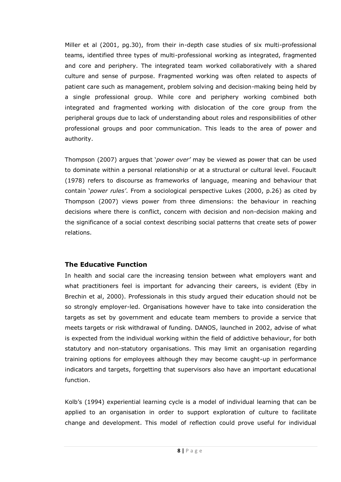Miller et al (2001, pg.30), from their in-depth case studies of six multi-professional teams, identified three types of multi-professional working as integrated, fragmented and core and periphery. The integrated team worked collaboratively with a shared culture and sense of purpose. Fragmented working was often related to aspects of patient care such as management, problem solving and decision-making being held by a single professional group. While core and periphery working combined both integrated and fragmented working with dislocation of the core group from the peripheral groups due to lack of understanding about roles and responsibilities of other professional groups and poor communication. This leads to the area of power and authority.

Thompson (2007) argues that '*power over"* may be viewed as power that can be used to dominate within a personal relationship or at a structural or cultural level. Foucault (1978) refers to discourse as frameworks of language, meaning and behaviour that contain '*power rules"*. From a sociological perspective Lukes (2000, p.26) as cited by Thompson (2007) views power from three dimensions: the behaviour in reaching decisions where there is conflict, concern with decision and non-decision making and the significance of a social context describing social patterns that create sets of power relations.

### **The Educative Function**

In health and social care the increasing tension between what employers want and what practitioners feel is important for advancing their careers, is evident (Eby in Brechin et al, 2000). Professionals in this study argued their education should not be so strongly employer-led. Organisations however have to take into consideration the targets as set by government and educate team members to provide a service that meets targets or risk withdrawal of funding. DANOS, launched in 2002, advise of what is expected from the individual working within the field of addictive behaviour, for both statutory and non-statutory organisations. This may limit an organisation regarding training options for employees although they may become caught-up in performance indicators and targets, forgetting that supervisors also have an important educational function.

Kolb's (1994) experiential learning cycle is a model of individual learning that can be applied to an organisation in order to support exploration of culture to facilitate change and development. This model of reflection could prove useful for individual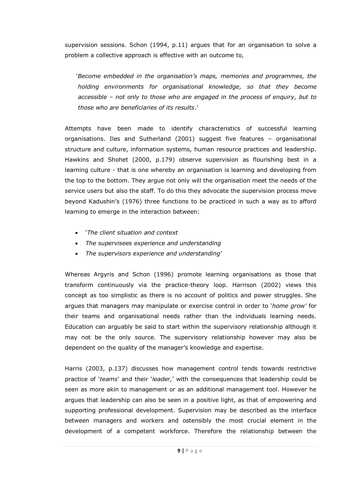supervision sessions. Schon (1994, p.11) argues that for an organisation to solve a problem a collective approach is effective with an outcome to,

'*Become embedded in the organisation"s maps, memories and programmes, the holding environments for organisational knowledge, so that they become accessible – not only to those who are engaged in the process of enquiry, but to those who are beneficiaries of its results*.'

Attempts have been made to identify characteristics of successful learning organisations. Iles and Sutherland (2001) suggest five features – organisational structure and culture, information systems, human resource practices and leadership. Hawkins and Shohet (2000, p.179) observe supervision as flourishing best in a learning culture - that is one whereby an organisation is learning and developing from the top to the bottom. They argue not only will the organisation meet the needs of the service users but also the staff. To do this they advocate the supervision process move beyond Kadushin's (1976) three functions to be practiced in such a way as to afford learning to emerge in the interaction between:

- '*The client situation and context*
- *The supervisees experience and understanding*
- *The supervisors experience and understanding*'

Whereas Argyris and Schon (1996) promote learning organisations as those that transform continuously via the practice-theory loop. Harrison (2002) views this concept as too simplistic as there is no account of politics and power struggles. She argues that managers may manipulate or exercise control in order to '*home grow"* for their teams and organisational needs rather than the individuals learning needs. Education can arguably be said to start within the supervisory relationship although it may not be the only source. The supervisory relationship however may also be dependent on the quality of the manager's knowledge and expertise.

Harris (2003, p.137) discusses how management control tends towards restrictive practice of '*teams*' and their '*leader,*' with the consequences that leadership could be seen as more akin to management or as an additional management tool. However he argues that leadership can also be seen in a positive light, as that of empowering and supporting professional development. Supervision may be described as the interface between managers and workers and ostensibly the most crucial element in the development of a competent workforce. Therefore the relationship between the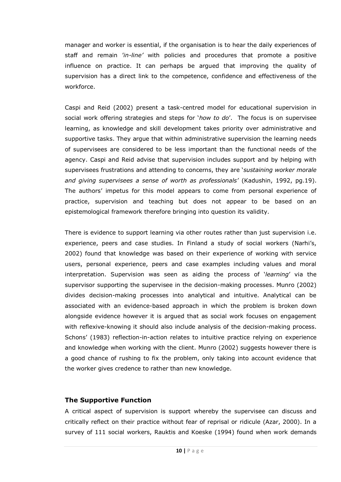manager and worker is essential, if the organisation is to hear the daily experiences of staff and remain '*in-line"* with policies and procedures that promote a positive influence on practice. It can perhaps be argued that improving the quality of supervision has a direct link to the competence, confidence and effectiveness of the workforce.

Caspi and Reid (2002) present a task-centred model for educational supervision in social work offering strategies and steps for '*how to do*'. The focus is on supervisee learning, as knowledge and skill development takes priority over administrative and supportive tasks. They argue that within administrative supervision the learning needs of supervisees are considered to be less important than the functional needs of the agency. Caspi and Reid advise that supervision includes support and by helping with supervisees frustrations and attending to concerns, they are '*sustaining worker morale and giving supervisees a sense of worth as professionals"* (Kadushin, 1992, pg.19). The authors' impetus for this model appears to come from personal experience of practice, supervision and teaching but does not appear to be based on an epistemological framework therefore bringing into question its validity.

There is evidence to support learning via other routes rather than just supervision i.e. experience, peers and case studies. In Finland a study of social workers (Narhi's, 2002) found that knowledge was based on their experience of working with service users, personal experience, peers and case examples including values and moral interpretation. Supervision was seen as aiding the process of '*learning*' via the supervisor supporting the supervisee in the decision-making processes. Munro (2002) divides decision-making processes into analytical and intuitive. Analytical can be associated with an evidence-based approach in which the problem is broken down alongside evidence however it is argued that as social work focuses on engagement with reflexive-knowing it should also include analysis of the decision-making process. Schons' (1983) reflection-in-action relates to intuitive practice relying on experience and knowledge when working with the client. Munro (2002) suggests however there is a good chance of rushing to fix the problem, only taking into account evidence that the worker gives credence to rather than new knowledge.

#### **The Supportive Function**

A critical aspect of supervision is support whereby the supervisee can discuss and critically reflect on their practice without fear of reprisal or ridicule (Azar, 2000). In a survey of 111 social workers, Rauktis and Koeske (1994) found when work demands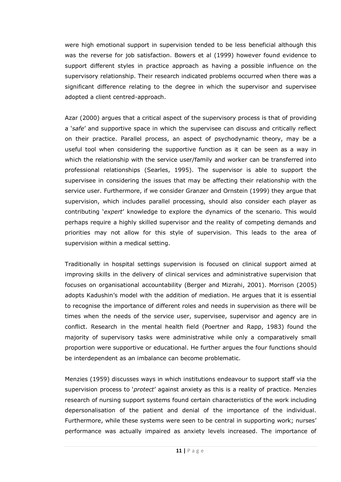were high emotional support in supervision tended to be less beneficial although this was the reverse for job satisfaction. Bowers et al (1999) however found evidence to support different styles in practice approach as having a possible influence on the supervisory relationship. Their research indicated problems occurred when there was a significant difference relating to the degree in which the supervisor and supervisee adopted a client centred-approach.

Azar (2000) argues that a critical aspect of the supervisory process is that of providing a '*safe*' and supportive space in which the supervisee can discuss and critically reflect on their practice. Parallel process, an aspect of psychodynamic theory, may be a useful tool when considering the supportive function as it can be seen as a way in which the relationship with the service user/family and worker can be transferred into professional relationships (Searles, 1995). The supervisor is able to support the supervisee in considering the issues that may be affecting their relationship with the service user. Furthermore, if we consider Granzer and Ornstein (1999) they argue that supervision, which includes parallel processing, should also consider each player as contributing '*expert*' knowledge to explore the dynamics of the scenario. This would perhaps require a highly skilled supervisor and the reality of competing demands and priorities may not allow for this style of supervision. This leads to the area of supervision within a medical setting.

Traditionally in hospital settings supervision is focused on clinical support aimed at improving skills in the delivery of clinical services and administrative supervision that focuses on organisational accountability (Berger and Mizrahi, 2001). Morrison (2005) adopts Kadushin's model with the addition of mediation. He argues that it is essential to recognise the importance of different roles and needs in supervision as there will be times when the needs of the service user, supervisee, supervisor and agency are in conflict. Research in the mental health field (Poertner and Rapp, 1983) found the majority of supervisory tasks were administrative while only a comparatively small proportion were supportive or educational. He further argues the four functions should be interdependent as an imbalance can become problematic.

Menzies (1959) discusses ways in which institutions endeavour to support staff via the supervision process to '*protect*' against anxiety as this is a reality of practice. Menzies research of nursing support systems found certain characteristics of the work including depersonalisation of the patient and denial of the importance of the individual. Furthermore, while these systems were seen to be central in supporting work; nurses' performance was actually impaired as anxiety levels increased. The importance of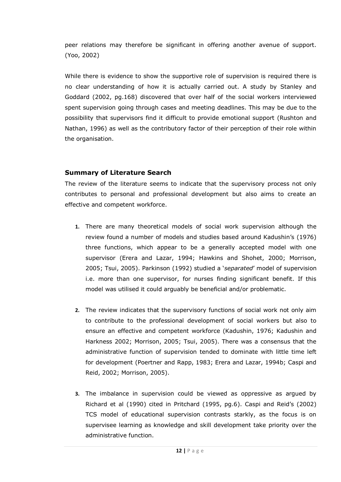peer relations may therefore be significant in offering another avenue of support. (Yoo, 2002)

While there is evidence to show the supportive role of supervision is required there is no clear understanding of how it is actually carried out. A study by Stanley and Goddard (2002, pg.168) discovered that over half of the social workers interviewed spent supervision going through cases and meeting deadlines. This may be due to the possibility that supervisors find it difficult to provide emotional support (Rushton and Nathan, 1996) as well as the contributory factor of their perception of their role within the organisation.

### **Summary of Literature Search**

The review of the literature seems to indicate that the supervisory process not only contributes to personal and professional development but also aims to create an effective and competent workforce.

- **1.** There are many theoretical models of social work supervision although the review found a number of models and studies based around Kadushin's (1976) three functions, which appear to be a generally accepted model with one supervisor (Erera and Lazar, 1994; Hawkins and Shohet, 2000; Morrison, 2005; Tsui, 2005). Parkinson (1992) studied a '*separated*' model of supervision i.e. more than one supervisor, for nurses finding significant benefit. If this model was utilised it could arguably be beneficial and/or problematic.
- **2.** The review indicates that the supervisory functions of social work not only aim to contribute to the professional development of social workers but also to ensure an effective and competent workforce (Kadushin, 1976; Kadushin and Harkness 2002; Morrison, 2005; Tsui, 2005). There was a consensus that the administrative function of supervision tended to dominate with little time left for development (Poertner and Rapp, 1983; Erera and Lazar, 1994b; Caspi and Reid, 2002; Morrison, 2005).
- **3.** The imbalance in supervision could be viewed as oppressive as argued by Richard et al (1990) cited in Pritchard (1995, pg.6). Caspi and Reid's (2002) TCS model of educational supervision contrasts starkly, as the focus is on supervisee learning as knowledge and skill development take priority over the administrative function.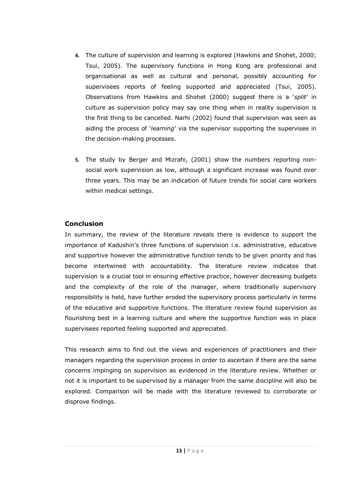- **4.** The culture of supervision and learning is explored (Hawkins and Shohet, 2000; Tsui, 2005). The supervisory functions in Hong Kong are professional and organisational as well as cultural and personal, possibly accounting for supervisees reports of feeling supported and appreciated (Tsui, 2005). Observations from Hawkins and Shohet (2000) suggest there is a '*split*' in culture as supervision policy may say one thing when in reality supervision is the first thing to be cancelled. Narhi (2002) found that supervision was seen as aiding the process of '*learning*' via the supervisor supporting the supervisee in the decision-making processes.
- **5.** The study by Berger and Mizrahi, (2001) show the numbers reporting nonsocial work supervision as low, although a significant increase was found over three years. This may be an indication of future trends for social care workers within medical settings.

### **Conclusion**

In summary, the review of the literature reveals there is evidence to support the importance of Kadushin's three functions of supervision i.e. administrative, educative and supportive however the administrative function tends to be given priority and has become intertwined with accountability. The literature review indicates that supervision is a crucial tool in ensuring effective practice, however decreasing budgets and the complexity of the role of the manager, where traditionally supervisory responsibility is held, have further eroded the supervisory process particularly in terms of the educative and supportive functions. The literature review found supervision as flourishing best in a learning culture and where the supportive function was in place supervisees reported feeling supported and appreciated.

This research aims to find out the views and experiences of practitioners and their managers regarding the supervision process in order to ascertain if there are the same concerns impinging on supervision as evidenced in the literature review. Whether or not it is important to be supervised by a manager from the same discipline will also be explored. Comparison will be made with the literature reviewed to corroborate or disprove findings.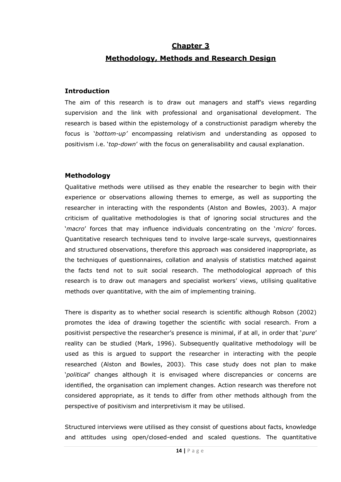### **Chapter 3**

### **Methodology, Methods and Research Design**

#### **Introduction**

The aim of this research is to draw out managers and staff's views regarding supervision and the link with professional and organisational development. The research is based within the epistemology of a constructionist paradigm whereby the focus is '*bottom-up"* encompassing relativism and understanding as opposed to positivism i.e. '*top-down*' with the focus on generalisability and causal explanation.

#### **Methodology**

Qualitative methods were utilised as they enable the researcher to begin with their experience or observations allowing themes to emerge, as well as supporting the researcher in interacting with the respondents (Alston and Bowles, 2003). A major criticism of qualitative methodologies is that of ignoring social structures and the '*macro*' forces that may influence individuals concentrating on the '*micro*' forces. Quantitative research techniques tend to involve large-scale surveys, questionnaires and structured observations, therefore this approach was considered inappropriate, as the techniques of questionnaires, collation and analysis of statistics matched against the facts tend not to suit social research. The methodological approach of this research is to draw out managers and specialist workers' views, utilising qualitative methods over quantitative, with the aim of implementing training.

There is disparity as to whether social research is scientific although Robson (2002) promotes the idea of drawing together the scientific with social research. From a positivist perspective the researcher's presence is minimal, if at all, in order that '*pure*' reality can be studied (Mark, 1996). Subsequently qualitative methodology will be used as this is argued to support the researcher in interacting with the people researched (Alston and Bowles, 2003). This case study does not plan to make '*political*' changes although it is envisaged where discrepancies or concerns are identified, the organisation can implement changes. Action research was therefore not considered appropriate, as it tends to differ from other methods although from the perspective of positivism and interpretivism it may be utilised.

Structured interviews were utilised as they consist of questions about facts, knowledge and attitudes using open/closed-ended and scaled questions. The quantitative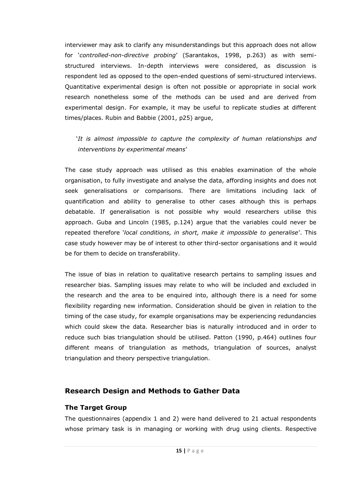interviewer may ask to clarify any misunderstandings but this approach does not allow for '*controlled-non-directive probing*' (Sarantakos, 1998, p.263) as with semistructured interviews. In-depth interviews were considered, as discussion is respondent led as opposed to the open-ended questions of semi-structured interviews. Quantitative experimental design is often not possible or appropriate in social work research nonetheless some of the methods can be used and are derived from experimental design. For example, it may be useful to replicate studies at different times/places. Rubin and Babbie (2001, p25) argue,

### '*It is almost impossible to capture the complexity of human relationships and interventions by experimental means*'

The case study approach was utilised as this enables examination of the whole organisation, to fully investigate and analyse the data, affording insights and does not seek generalisations or comparisons. There are limitations including lack of quantification and ability to generalise to other cases although this is perhaps debatable. If generalisation is not possible why would researchers utilise this approach. Guba and Lincoln (1985, p.124) argue that the variables could never be repeated therefore '*local conditions, in short, make it impossible to generalise*'. This case study however may be of interest to other third-sector organisations and it would be for them to decide on transferability.

The issue of bias in relation to qualitative research pertains to sampling issues and researcher bias. Sampling issues may relate to who will be included and excluded in the research and the area to be enquired into, although there is a need for some flexibility regarding new information. Consideration should be given in relation to the timing of the case study, for example organisations may be experiencing redundancies which could skew the data. Researcher bias is naturally introduced and in order to reduce such bias triangulation should be utilised. Patton (1990, p.464) outlines four different means of triangulation as methods, triangulation of sources, analyst triangulation and theory perspective triangulation.

### **Research Design and Methods to Gather Data**

#### **The Target Group**

The questionnaires (appendix 1 and 2) were hand delivered to 21 actual respondents whose primary task is in managing or working with drug using clients. Respective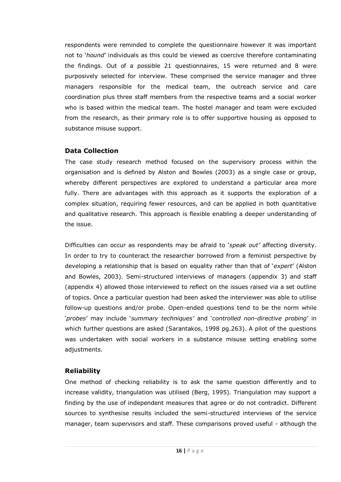respondents were reminded to complete the questionnaire however it was important not to '*hound*' individuals as this could be viewed as coercive therefore contaminating the findings. Out of a possible 21 questionnaires, 15 were returned and 8 were purposively selected for interview. These comprised the service manager and three managers responsible for the medical team, the outreach service and care coordination plus three staff members from the respective teams and a social worker who is based within the medical team. The hostel manager and team were excluded from the research, as their primary role is to offer supportive housing as opposed to substance misuse support.

#### **Data Collection**

The case study research method focused on the supervisory process within the organisation and is defined by Alston and Bowles (2003) as a single case or group, whereby different perspectives are explored to understand a particular area more fully. There are advantages with this approach as it supports the exploration of a complex situation, requiring fewer resources, and can be applied in both quantitative and qualitative research. This approach is flexible enabling a deeper understanding of the issue.

Difficulties can occur as respondents may be afraid to '*speak out"* affecting diversity. In order to try to counteract the researcher borrowed from a feminist perspective by developing a relationship that is based on equality rather than that of '*expert*' (Alston and Bowles, 2003). Semi-structured interviews of managers (appendix 3) and staff (appendix 4) allowed those interviewed to reflect on the issues raised via a set outline of topics. Once a particular question had been asked the interviewer was able to utilise follow-up questions and/or probe. Open-ended questions tend to be the norm while '*probes*' may include '*summary techniques"* and '*controlled non-directive probing*' in which further questions are asked (Sarantakos, 1998 pg.263). A pilot of the questions was undertaken with social workers in a substance misuse setting enabling some adjustments.

### **Reliability**

One method of checking reliability is to ask the same question differently and to increase validity, triangulation was utilised (Berg, 1995). Triangulation may support a finding by the use of independent measures that agree or do not contradict. Different sources to synthesise results included the semi-structured interviews of the service manager, team supervisors and staff. These comparisons proved useful - although the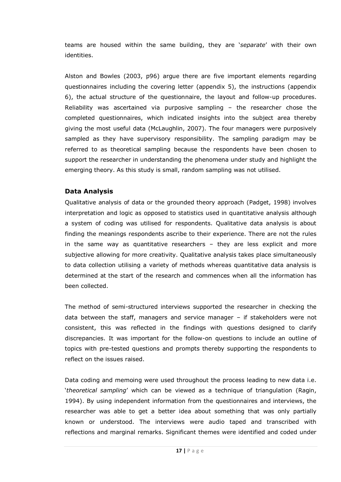teams are housed within the same building, they are '*separate*' with their own identities.

Alston and Bowles (2003, p96) argue there are five important elements regarding questionnaires including the covering letter (appendix 5), the instructions (appendix 6), the actual structure of the questionnaire, the layout and follow-up procedures. Reliability was ascertained via purposive sampling – the researcher chose the completed questionnaires, which indicated insights into the subject area thereby giving the most useful data (McLaughlin, 2007). The four managers were purposively sampled as they have supervisory responsibility. The sampling paradigm may be referred to as theoretical sampling because the respondents have been chosen to support the researcher in understanding the phenomena under study and highlight the emerging theory. As this study is small, random sampling was not utilised.

#### **Data Analysis**

Qualitative analysis of data or the grounded theory approach (Padget, 1998) involves interpretation and logic as opposed to statistics used in quantitative analysis although a system of coding was utilised for respondents. Qualitative data analysis is about finding the meanings respondents ascribe to their experience. There are not the rules in the same way as quantitative researchers – they are less explicit and more subjective allowing for more creativity. Qualitative analysis takes place simultaneously to data collection utilising a variety of methods whereas quantitative data analysis is determined at the start of the research and commences when all the information has been collected.

The method of semi-structured interviews supported the researcher in checking the data between the staff, managers and service manager – if stakeholders were not consistent, this was reflected in the findings with questions designed to clarify discrepancies. It was important for the follow-on questions to include an outline of topics with pre-tested questions and prompts thereby supporting the respondents to reflect on the issues raised.

Data coding and memoing were used throughout the process leading to new data i.e. '*theoretical sampling*' which can be viewed as a technique of triangulation (Ragin, 1994). By using independent information from the questionnaires and interviews, the researcher was able to get a better idea about something that was only partially known or understood. The interviews were audio taped and transcribed with reflections and marginal remarks. Significant themes were identified and coded under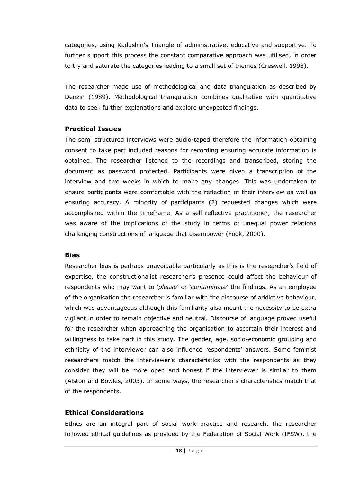categories, using Kadushin's Triangle of administrative, educative and supportive. To further support this process the constant comparative approach was utilised, in order to try and saturate the categories leading to a small set of themes (Creswell, 1998).

The researcher made use of methodological and data triangulation as described by Denzin (1989). Methodological triangulation combines qualitative with quantitative data to seek further explanations and explore unexpected findings.

#### **Practical Issues**

The semi structured interviews were audio-taped therefore the information obtaining consent to take part included reasons for recording ensuring accurate information is obtained. The researcher listened to the recordings and transcribed, storing the document as password protected. Participants were given a transcription of the interview and two weeks in which to make any changes. This was undertaken to ensure participants were comfortable with the reflection of their interview as well as ensuring accuracy. A minority of participants (2) requested changes which were accomplished within the timeframe. As a self-reflective practitioner, the researcher was aware of the implications of the study in terms of unequal power relations challenging constructions of language that disempower (Fook, 2000).

#### **Bias**

Researcher bias is perhaps unavoidable particularly as this is the researcher's field of expertise, the constructionalist researcher's presence could affect the behaviour of respondents who may want to '*please*' or '*contaminate*' the findings. As an employee of the organisation the researcher is familiar with the discourse of addictive behaviour, which was advantageous although this familiarity also meant the necessity to be extra vigilant in order to remain objective and neutral. Discourse of language proved useful for the researcher when approaching the organisation to ascertain their interest and willingness to take part in this study. The gender, age, socio-economic grouping and ethnicity of the interviewer can also influence respondents' answers. Some feminist researchers match the interviewer's characteristics with the respondents as they consider they will be more open and honest if the interviewer is similar to them (Alston and Bowles, 2003). In some ways, the researcher's characteristics match that of the respondents.

### **Ethical Considerations**

Ethics are an integral part of social work practice and research, the researcher followed ethical guidelines as provided by the Federation of Social Work (IFSW), the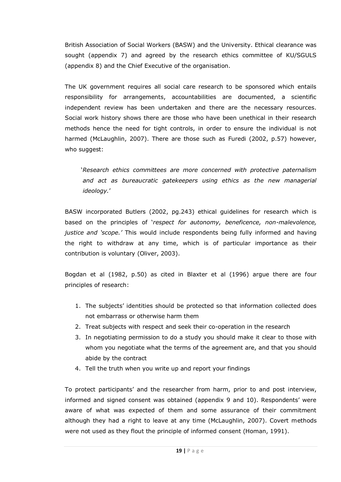British Association of Social Workers (BASW) and the University. Ethical clearance was sought (appendix 7) and agreed by the research ethics committee of KU/SGULS (appendix 8) and the Chief Executive of the organisation.

The UK government requires all social care research to be sponsored which entails responsibility for arrangements, accountabilities are documented, a scientific independent review has been undertaken and there are the necessary resources. Social work history shows there are those who have been unethical in their research methods hence the need for tight controls, in order to ensure the individual is not harmed (McLaughlin, 2007). There are those such as Furedi (2002, p.57) however, who suggest:

'*Research ethics committees are more concerned with protective paternalism and act as bureaucratic gatekeepers using ethics as the new managerial ideology.*'

BASW incorporated Butlers (2002, pg.243) ethical guidelines for research which is based on the principles of '*respect for autonomy, beneficence, non-malevolence, justice and "scope."* This would include respondents being fully informed and having the right to withdraw at any time, which is of particular importance as their contribution is voluntary (Oliver, 2003).

Bogdan et al (1982, p.50) as cited in Blaxter et al (1996) argue there are four principles of research:

- 1. The subjects' identities should be protected so that information collected does not embarrass or otherwise harm them
- 2. Treat subjects with respect and seek their co-operation in the research
- 3. In negotiating permission to do a study you should make it clear to those with whom you negotiate what the terms of the agreement are, and that you should abide by the contract
- 4. Tell the truth when you write up and report your findings

To protect participants' and the researcher from harm, prior to and post interview, informed and signed consent was obtained (appendix 9 and 10). Respondents' were aware of what was expected of them and some assurance of their commitment although they had a right to leave at any time (McLaughlin, 2007). Covert methods were not used as they flout the principle of informed consent (Homan, 1991).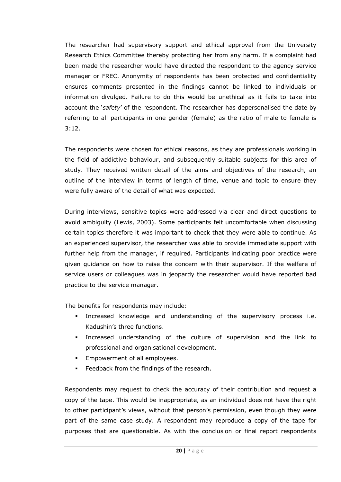The researcher had supervisory support and ethical approval from the University Research Ethics Committee thereby protecting her from any harm. If a complaint had been made the researcher would have directed the respondent to the agency service manager or FREC. Anonymity of respondents has been protected and confidentiality ensures comments presented in the findings cannot be linked to individuals or information divulged. Failure to do this would be unethical as it fails to take into account the '*safety*' of the respondent. The researcher has depersonalised the date by referring to all participants in one gender (female) as the ratio of male to female is 3:12.

The respondents were chosen for ethical reasons, as they are professionals working in the field of addictive behaviour, and subsequently suitable subjects for this area of study. They received written detail of the aims and objectives of the research, an outline of the interview in terms of length of time, venue and topic to ensure they were fully aware of the detail of what was expected.

During interviews, sensitive topics were addressed via clear and direct questions to avoid ambiguity (Lewis, 2003). Some participants felt uncomfortable when discussing certain topics therefore it was important to check that they were able to continue. As an experienced supervisor, the researcher was able to provide immediate support with further help from the manager, if required. Participants indicating poor practice were given guidance on how to raise the concern with their supervisor. If the welfare of service users or colleagues was in jeopardy the researcher would have reported bad practice to the service manager.

The benefits for respondents may include:

- Increased knowledge and understanding of the supervisory process i.e. Kadushin's three functions.
- Increased understanding of the culture of supervision and the link to professional and organisational development.
- **Empowerment of all employees.**
- **Feedback from the findings of the research.**

Respondents may request to check the accuracy of their contribution and request a copy of the tape. This would be inappropriate, as an individual does not have the right to other participant's views, without that person's permission, even though they were part of the same case study. A respondent may reproduce a copy of the tape for purposes that are questionable. As with the conclusion or final report respondents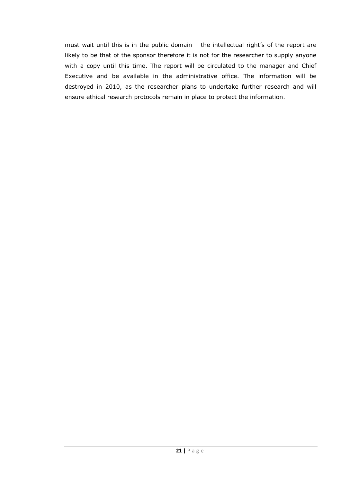must wait until this is in the public domain – the intellectual right's of the report are likely to be that of the sponsor therefore it is not for the researcher to supply anyone with a copy until this time. The report will be circulated to the manager and Chief Executive and be available in the administrative office. The information will be destroyed in 2010, as the researcher plans to undertake further research and will ensure ethical research protocols remain in place to protect the information.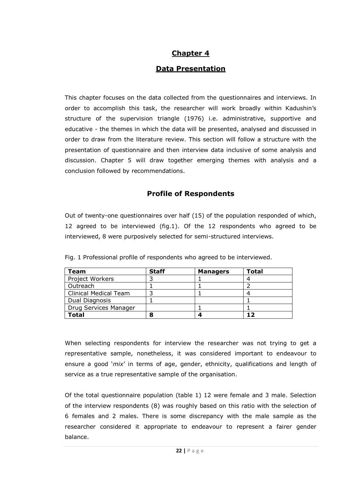### **Chapter 4**

### **Data Presentation**

This chapter focuses on the data collected from the questionnaires and interviews. In order to accomplish this task, the researcher will work broadly within Kadushin's structure of the supervision triangle (1976) i.e. administrative, supportive and educative - the themes in which the data will be presented, analysed and discussed in order to draw from the literature review. This section will follow a structure with the presentation of questionnaire and then interview data inclusive of some analysis and discussion. Chapter 5 will draw together emerging themes with analysis and a conclusion followed by recommendations.

### **Profile of Respondents**

Out of twenty-one questionnaires over half (15) of the population responded of which, 12 agreed to be interviewed (fig.1). Of the 12 respondents who agreed to be interviewed, 8 were purposively selected for semi-structured interviews.

| Team                         | <b>Staff</b> | <b>Managers</b> | <b>Total</b> |
|------------------------------|--------------|-----------------|--------------|
| Project Workers              |              |                 |              |
| Outreach                     |              |                 |              |
| <b>Clinical Medical Team</b> |              |                 |              |
| Dual Diagnosis               |              |                 |              |
| Drug Services Manager        |              |                 |              |
| <b>Total</b>                 | О            |                 |              |

Fig. 1 Professional profile of respondents who agreed to be interviewed.

When selecting respondents for interview the researcher was not trying to get a representative sample, nonetheless, it was considered important to endeavour to ensure a good '*mix*' in terms of age, gender, ethnicity, qualifications and length of service as a true representative sample of the organisation.

Of the total questionnaire population (table 1) 12 were female and 3 male. Selection of the interview respondents (8) was roughly based on this ratio with the selection of 6 females and 2 males. There is some discrepancy with the male sample as the researcher considered it appropriate to endeavour to represent a fairer gender balance.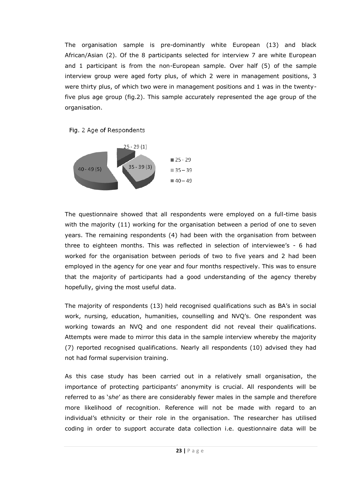The organisation sample is pre-dominantly white European (13) and black African/Asian (2). Of the 8 participants selected for interview 7 are white European and 1 participant is from the non-European sample. Over half (5) of the sample interview group were aged forty plus, of which 2 were in management positions, 3 were thirty plus, of which two were in management positions and 1 was in the twentyfive plus age group (fig.2). This sample accurately represented the age group of the organisation.

Fig. 2 Age of Respondents



The questionnaire showed that all respondents were employed on a full-time basis with the majority (11) working for the organisation between a period of one to seven years. The remaining respondents (4) had been with the organisation from between three to eighteen months. This was reflected in selection of interviewee's - 6 had worked for the organisation between periods of two to five years and 2 had been employed in the agency for one year and four months respectively. This was to ensure that the majority of participants had a good understanding of the agency thereby hopefully, giving the most useful data.

The majority of respondents (13) held recognised qualifications such as BA's in social work, nursing, education, humanities, counselling and NVQ's. One respondent was working towards an NVQ and one respondent did not reveal their qualifications. Attempts were made to mirror this data in the sample interview whereby the majority (7) reported recognised qualifications. Nearly all respondents (10) advised they had not had formal supervision training.

As this case study has been carried out in a relatively small organisation, the importance of protecting participants' anonymity is crucial. All respondents will be referred to as '*she*' as there are considerably fewer males in the sample and therefore more likelihood of recognition. Reference will not be made with regard to an individual's ethnicity or their role in the organisation. The researcher has utilised coding in order to support accurate data collection i.e. questionnaire data will be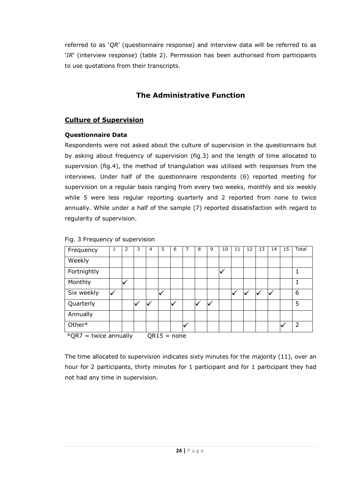referred to as '*QR*' (questionnaire response) and interview data will be referred to as '*IR*' (interview response) (table 2). Permission has been authorised from participants to use quotations from their transcripts.

## **The Administrative Function**

### **Culture of Supervision**

### **Questionnaire Data**

Respondents were not asked about the culture of supervision in the questionnaire but by asking about frequency of supervision (fig.3) and the length of time allocated to supervision (fig.4), the method of triangulation was utilised with responses from the interviews. Under half of the questionnaire respondents (6) reported meeting for supervision on a regular basis ranging from every two weeks, monthly and six weekly while 5 were less regular reporting quarterly and 2 reported from none to twice annually. While under a half of the sample (7) reported dissatisfaction with regard to regularity of supervision.

| Frequency                                 | 1            | 2            | 3 | 4 | 5 | 6 | 7 | 8 | 9 | 10 | 11 | 12 | 13 | 14 | 15 | Total |
|-------------------------------------------|--------------|--------------|---|---|---|---|---|---|---|----|----|----|----|----|----|-------|
| Weekly                                    |              |              |   |   |   |   |   |   |   |    |    |    |    |    |    |       |
| Fortnightly                               |              |              |   |   |   |   |   |   |   | M  |    |    |    |    |    | 1     |
| Monthly                                   |              | $\checkmark$ |   |   |   |   |   |   |   |    |    |    |    |    |    | 1     |
| Six weekly                                | $\checkmark$ |              |   |   | V |   |   |   |   |    | v  |    |    |    |    | 6     |
| Quarterly                                 |              |              |   |   |   | ◡ |   |   |   |    |    |    |    |    |    | 5     |
| Annually                                  |              |              |   |   |   |   |   |   |   |    |    |    |    |    |    |       |
| Other*                                    |              |              |   |   |   |   |   |   |   |    |    |    |    |    |    | 2     |
| $*$ QR7 = twice annually<br>$QR15 = none$ |              |              |   |   |   |   |   |   |   |    |    |    |    |    |    |       |

Fig. 3 Frequency of supervision

The time allocated to supervision indicates sixty minutes for the majority (11), over an hour for 2 participants, thirty minutes for 1 participant and for 1 participant they had not had any time in supervision.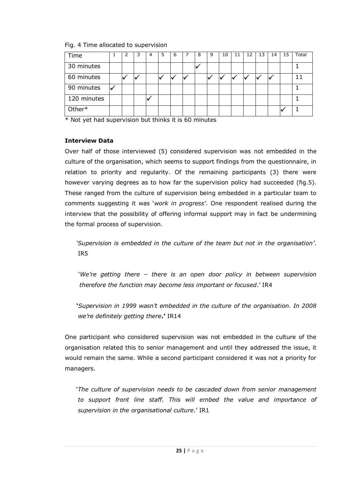| Time        | 2 | 3 | 4 | 5 | 6 | 8 | 9 | 10 | 11 | 12 | 13 | 14 | -15 | Total |
|-------------|---|---|---|---|---|---|---|----|----|----|----|----|-----|-------|
| 30 minutes  |   |   |   |   |   |   |   |    |    |    |    |    |     |       |
| 60 minutes  |   |   |   |   |   |   |   |    |    |    |    |    |     |       |
| 90 minutes  |   |   |   |   |   |   |   |    |    |    |    |    |     |       |
| 120 minutes |   |   |   |   |   |   |   |    |    |    |    |    |     |       |
| Other*      |   |   |   |   |   |   |   |    |    |    |    |    |     |       |

Fig. 4 Time allocated to supervision

\* Not yet had supervision but thinks it is 60 minutes

#### **Interview Data**

Over half of those interviewed (5) considered supervision was not embedded in the culture of the organisation, which seems to support findings from the questionnaire, in relation to priority and regularity. Of the remaining participants (3) there were however varying degrees as to how far the supervision policy had succeeded (fig.5). These ranged from the culture of supervision being embedded in a particular team to comments suggesting it was '*work in progress"*. One respondent realised during the interview that the possibility of offering informal support may in fact be undermining the formal process of supervision.

*"Supervision is embedded in the culture of the team but not in the organisation"*. IR5

'*We"re getting there – there is an open door policy in between supervision therefore the function may become less important or focused*.' IR4

**'***Supervision in 1999 wasn"t embedded in the culture of the organisation. In 2008 we"re definitely getting there***.'** IR14

One participant who considered supervision was not embedded in the culture of the organisation related this to senior management and until they addressed the issue, it would remain the same. While a second participant considered it was not a priority for managers.

'*The culture of supervision needs to be cascaded down from senior management to support front line staff. This will embed the value and importance of supervision in the organisational culture*.' IR1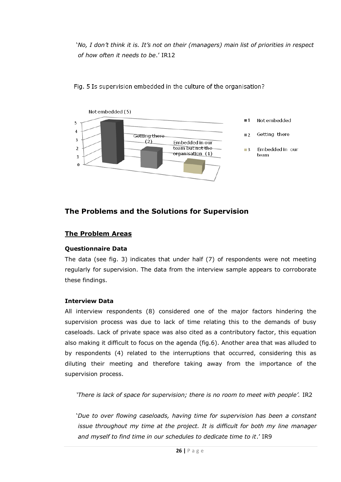'*No, I don"t think it is. It"s not on their (managers) main list of priorities in respect of how often it needs to be*.' IR12



Fig. 5 Is supervision embedded in the culture of the organisation?

### **The Problems and the Solutions for Supervision**

#### **The Problem Areas**

#### **Questionnaire Data**

The data (see fig. 3) indicates that under half (7) of respondents were not meeting regularly for supervision. The data from the interview sample appears to corroborate these findings.

#### **Interview Data**

All interview respondents (8) considered one of the major factors hindering the supervision process was due to lack of time relating this to the demands of busy caseloads. Lack of private space was also cited as a contributory factor, this equation also making it difficult to focus on the agenda (fig.6). Another area that was alluded to by respondents (4) related to the interruptions that occurred, considering this as diluting their meeting and therefore taking away from the importance of the supervision process.

'There is lack of space for supervision; there is no room to meet with people'. IR2

'*Due to over flowing caseloads, having time for supervision has been a constant issue throughout my time at the project. It is difficult for both my line manager and myself to find time in our schedules to dedicate time to it*.' IR9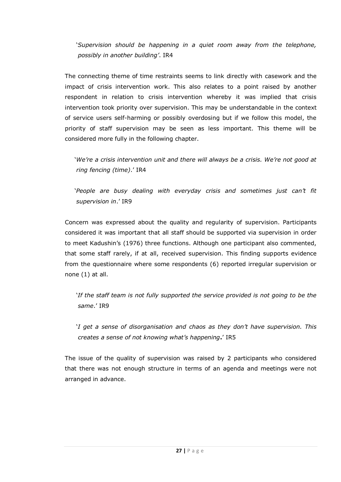'*Supervision should be happening in a quiet room away from the telephone, possibly in another building"*. IR4

The connecting theme of time restraints seems to link directly with casework and the impact of crisis intervention work. This also relates to a point raised by another respondent in relation to crisis intervention whereby it was implied that crisis intervention took priority over supervision. This may be understandable in the context of service users self-harming or possibly overdosing but if we follow this model, the priority of staff supervision may be seen as less important. This theme will be considered more fully in the following chapter.

'*We"re a crisis intervention unit and there will always be a crisis. We"re not good at ring fencing (time)*.' IR4

'*People are busy dealing with everyday crisis and sometimes just can"t fit supervision in*.' IR9

Concern was expressed about the quality and regularity of supervision. Participants considered it was important that all staff should be supported via supervision in order to meet Kadushin's (1976) three functions. Although one participant also commented, that some staff rarely, if at all, received supervision. This finding supports evidence from the questionnaire where some respondents (6) reported irregular supervision or none (1) at all.

*'If the staff team is not fully supported the service provided is not going to be the same*.' IR9

'*I get a sense of disorganisation and chaos as they don"t have supervision. This creates a sense of not knowing what"s happening***.**' IR5

The issue of the quality of supervision was raised by 2 participants who considered that there was not enough structure in terms of an agenda and meetings were not arranged in advance.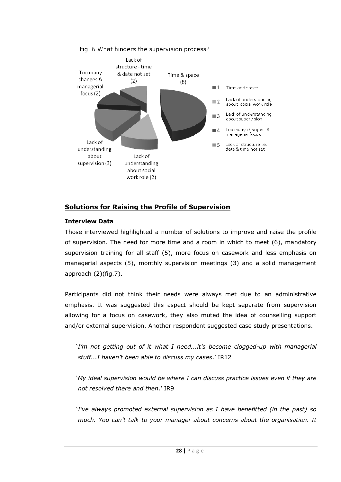

#### Fig. 6 What hinders the supervision process?

### **Solutions for Raising the Profile of Supervision**

#### **Interview Data**

Those interviewed highlighted a number of solutions to improve and raise the profile of supervision. The need for more time and a room in which to meet (6), mandatory supervision training for all staff (5), more focus on casework and less emphasis on managerial aspects (5), monthly supervision meetings (3) and a solid management approach (2)(fig.7).

Participants did not think their needs were always met due to an administrative emphasis. It was suggested this aspect should be kept separate from supervision allowing for a focus on casework, they also muted the idea of counselling support and/or external supervision. Another respondent suggested case study presentations.

'*I"m not getting out of it what I need...it"s become clogged-up with managerial stuff...I haven"t been able to discuss my cases*.' IR12

'*My ideal supervision would be where I can discuss practice issues even if they are not resolved there and then*.' IR9

'*I"ve always promoted external supervision as I have benefitted (in the past) so much. You can"t talk to your manager about concerns about the organisation. It*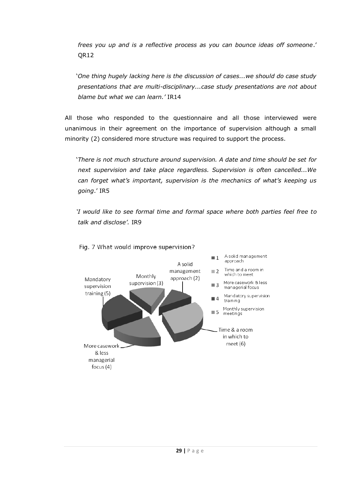*frees you up and is a reflective process as you can bounce ideas off someone*.' QR12

'*One thing hugely lacking here is the discussion of cases...we should do case study presentations that are multi-disciplinary...case study presentations are not about blame but what we can learn."* IR14

All those who responded to the questionnaire and all those interviewed were unanimous in their agreement on the importance of supervision although a small minority (2) considered more structure was required to support the process.

'*There is not much structure around supervision. A date and time should be set for next supervision and take place regardless. Supervision is often cancelled...We can forget what"s important, supervision is the mechanics of what"s keeping us going*.' IR5

*"I would like to see formal time and formal space where both parties feel free to talk and disclose".* IR9

![](_page_37_Figure_5.jpeg)

#### Fig. 7 What would improve supervision?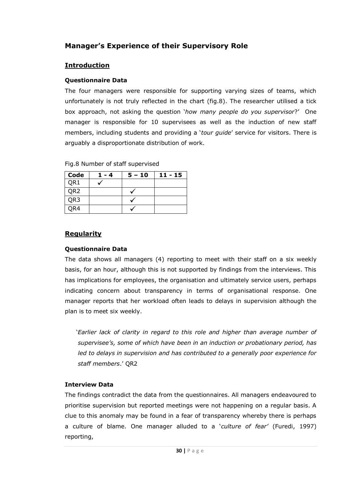### **Manager's Experience of their Supervisory Role**

#### **Introduction**

#### **Questionnaire Data**

The four managers were responsible for supporting varying sizes of teams, which unfortunately is not truly reflected in the chart (fig.8). The researcher utilised a tick box approach, not asking the question '*how many people do you supervisor*?' One manager is responsible for 10 supervisees as well as the induction of new staff members, including students and providing a '*tour guide*' service for visitors. There is arguably a disproportionate distribution of work.

| Code            | 1 - 4 | $5 - 10$ | $11 - 15$ |
|-----------------|-------|----------|-----------|
| QR1             |       |          |           |
| QR <sub>2</sub> |       |          |           |
| QR3             |       |          |           |
| OR4             |       |          |           |

Fig.8 Number of staff supervised

#### **Regularity**

#### **Questionnaire Data**

The data shows all managers (4) reporting to meet with their staff on a six weekly basis, for an hour, although this is not supported by findings from the interviews. This has implications for employees, the organisation and ultimately service users, perhaps indicating concern about transparency in terms of organisational response. One manager reports that her workload often leads to delays in supervision although the plan is to meet six weekly.

'*Earlier lack of clarity in regard to this role and higher than average number of supervisee"s, some of which have been in an induction or probationary period, has led to delays in supervision and has contributed to a generally poor experience for staff members*.' QR2

#### **Interview Data**

The findings contradict the data from the questionnaires. All managers endeavoured to prioritise supervision but reported meetings were not happening on a regular basis. A clue to this anomaly may be found in a fear of transparency whereby there is perhaps a culture of blame. One manager alluded to a '*culture of fear"* (Furedi, 1997) reporting,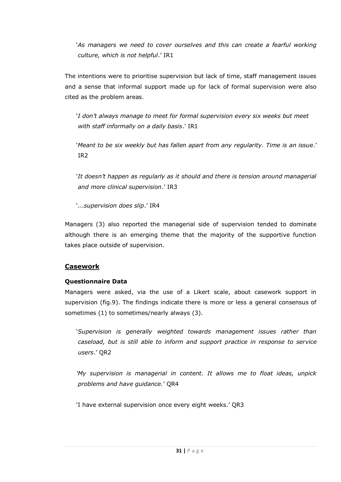*'As managers we need to cover ourselves and this can create a fearful working culture, which is not helpful*.' IR1

The intentions were to prioritise supervision but lack of time, staff management issues and a sense that informal support made up for lack of formal supervision were also cited as the problem areas.

'*I don"t always manage to meet for formal supervision every six weeks but meet with staff informally on a daily basis*.' IR1

'*Meant to be six weekly but has fallen apart from any regularity. Time is an issue*.' IR2

'*It doesn"t happen as regularly as it should and there is tension around managerial and more clinical supervision*.' IR3

'...*supervision does slip*.' IR4

Managers (3) also reported the managerial side of supervision tended to dominate although there is an emerging theme that the majority of the supportive function takes place outside of supervision.

### **Casework**

#### **Questionnaire Data**

Managers were asked, via the use of a Likert scale, about casework support in supervision (fig.9). The findings indicate there is more or less a general consensus of sometimes (1) to sometimes/nearly always (3).

'*Supervision is generally weighted towards management issues rather than caseload, but is still able to inform and support practice in response to service users*.' QR2

*"My supervision is managerial in content. It allows me to float ideas, unpick problems and have guidance.*' QR4

'I have external supervision once every eight weeks.' QR3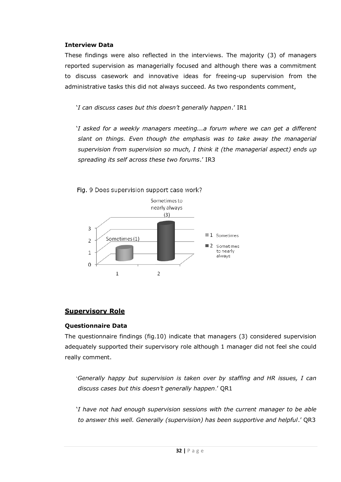#### **Interview Data**

These findings were also reflected in the interviews. The majority (3) of managers reported supervision as managerially focused and although there was a commitment to discuss casework and innovative ideas for freeing-up supervision from the administrative tasks this did not always succeed. As two respondents comment,

'*I can discuss cases but this doesn"t generally happen*.' IR1

'*I asked for a weekly managers meeting...a forum where we can get a different slant on things. Even though the emphasis was to take away the managerial supervision from supervision so much, I think it (the managerial aspect) ends up spreading its self across these two forums*.' IR3

![](_page_40_Figure_4.jpeg)

### **Supervisory Role**

#### **Questionnaire Data**

The questionnaire findings (fig.10) indicate that managers (3) considered supervision adequately supported their supervisory role although 1 manager did not feel she could really comment.

'*Generally happy but supervision is taken over by staffing and HR issues, I can discuss cases but this doesn"t generally happen*.' QR1

'*I have not had enough supervision sessions with the current manager to be able to answer this well. Generally (supervision) has been supportive and helpful*.' QR3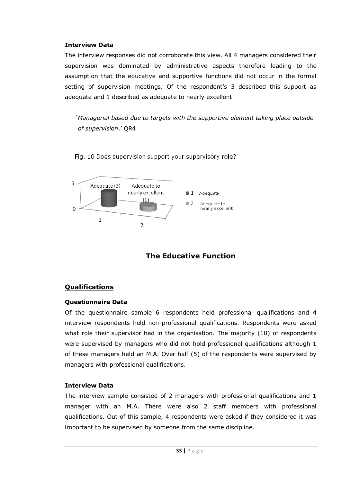#### **Interview Data**

The interview responses did not corroborate this view. All 4 managers considered their supervision was dominated by administrative aspects therefore leading to the assumption that the educative and supportive functions did not occur in the formal setting of supervision meetings. Of the respondent's 3 described this support as adequate and 1 described as adequate to nearly excellent.

'*Managerial based due to targets with the supportive element taking place outside of supervision*.' QR4

Fig. 10 Does supervision support your supervisory role?

![](_page_41_Figure_4.jpeg)

## **The Educative Function**

### **Qualifications**

#### **Questionnaire Data**

Of the questionnaire sample 6 respondents held professional qualifications and 4 interview respondents held non-professional qualifications. Respondents were asked what role their supervisor had in the organisation. The majority (10) of respondents were supervised by managers who did not hold professional qualifications although 1 of these managers held an M.A. Over half (5) of the respondents were supervised by managers with professional qualifications.

#### **Interview Data**

The interview sample consisted of 2 managers with professional qualifications and 1 manager with an M.A. There were also 2 staff members with professional qualifications. Out of this sample, 4 respondents were asked if they considered it was important to be supervised by someone from the same discipline.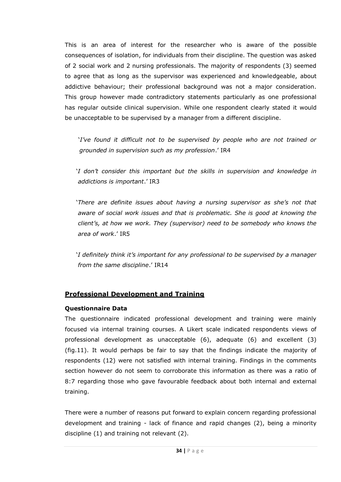This is an area of interest for the researcher who is aware of the possible consequences of isolation, for individuals from their discipline. The question was asked of 2 social work and 2 nursing professionals. The majority of respondents (3) seemed to agree that as long as the supervisor was experienced and knowledgeable, about addictive behaviour; their professional background was not a major consideration. This group however made contradictory statements particularly as one professional has regular outside clinical supervision. While one respondent clearly stated it would be unacceptable to be supervised by a manager from a different discipline.

'*I"ve found it difficult not to be supervised by people who are not trained or grounded in supervision such as my profession*.' IR4

'*I don"t consider this important but the skills in supervision and knowledge in addictions is important*.' IR3

'*There are definite issues about having a nursing supervisor as she"s not that aware of social work issues and that is problematic. She is good at knowing the client"s, at how we work. They (supervisor) need to be somebody who knows the area of work*.' IR5

'*I definitely think it"s important for any professional to be supervised by a manager from the same discipline*.' IR14

### **Professional Development and Training**

#### **Questionnaire Data**

The questionnaire indicated professional development and training were mainly focused via internal training courses. A Likert scale indicated respondents views of professional development as unacceptable (6), adequate (6) and excellent (3) (fig.11). It would perhaps be fair to say that the findings indicate the majority of respondents (12) were not satisfied with internal training. Findings in the comments section however do not seem to corroborate this information as there was a ratio of 8:7 regarding those who gave favourable feedback about both internal and external training.

There were a number of reasons put forward to explain concern regarding professional development and training - lack of finance and rapid changes (2), being a minority discipline (1) and training not relevant (2).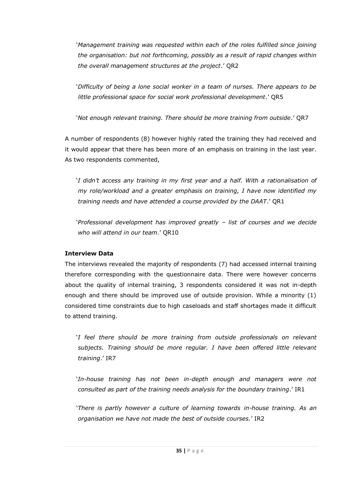'*Management training was requested within each of the roles fulfilled since joining the organisation: but not forthcoming, possibly as a result of rapid changes within the overall management structures at the project*.' QR2

'*Difficulty of being a lone social worker in a team of nurses. There appears to be little professional space for social work professional development*.' QR5

'*Not enough relevant training. There should be more training from outside*.' QR7

A number of respondents (8) however highly rated the training they had received and it would appear that there has been more of an emphasis on training in the last year. As two respondents commented,

'*I didn"t access any training in my first year and a half. With a rationalisation of my role/workload and a greater emphasis on training, I have now identified my training needs and have attended a course provided by the DAAT*.' QR1

'*Professional development has improved greatly – list of courses and we decide who will attend in our team*.' QR10

### **Interview Data**

The interviews revealed the majority of respondents (7) had accessed internal training therefore corresponding with the questionnaire data. There were however concerns about the quality of internal training, 3 respondents considered it was not in-depth enough and there should be improved use of outside provision. While a minority (1) considered time constraints due to high caseloads and staff shortages made it difficult to attend training.

'*I feel there should be more training from outside professionals on relevant subjects. Training should be more regular. I have been offered little relevant training*.' IR7

'*In-house training has not been in-depth enough and managers were not consulted as part of the training needs analysis for the boundary training*.' IR1

'*There is partly however a culture of learning towards in-house training. As an organisation we have not made the best of outside courses.*' IR2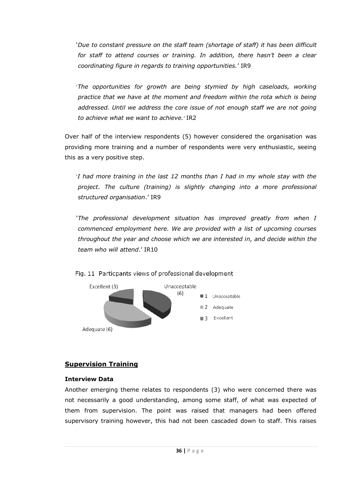'*Due to constant pressure on the staff team (shortage of staff) it has been difficult for staff to attend courses or training. In addition, there hasn"t been a clear coordinating figure in regards to training opportunities.*' IR9

'*The opportunities for growth are being stymied by high caseloads, working practice that we have at the moment and freedom within the rota which is being addressed. Until we address the core issue of not enough staff we are not going to achieve what we want to achieve.*' IR2

Over half of the interview respondents (5) however considered the organisation was providing more training and a number of respondents were very enthusiastic, seeing this as a very positive step.

'*I had more training in the last 12 months than I had in my whole stay with the project. The culture (training) is slightly changing into a more professional structured organisation*.' IR9

'*The professional development situation has improved greatly from when I commenced employment here. We are provided with a list of upcoming courses throughout the year and choose which we are interested in, and decide within the team who will attend*.' IR10

![](_page_44_Figure_5.jpeg)

Fig. 11 Particpants views of professional development

### **Supervision Training**

#### **Interview Data**

Another emerging theme relates to respondents (3) who were concerned there was not necessarily a good understanding, among some staff, of what was expected of them from supervision. The point was raised that managers had been offered supervisory training however, this had not been cascaded down to staff. This raises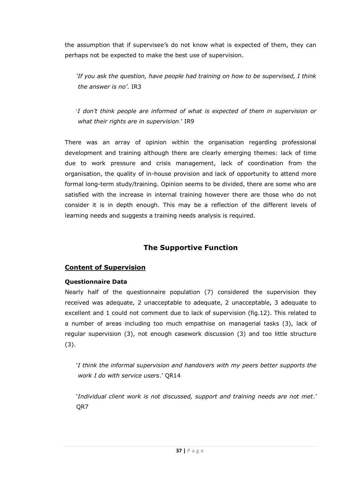the assumption that if supervisee's do not know what is expected of them, they can perhaps not be expected to make the best use of supervision.

*"If you ask the question, have people had training on how to be supervised, I think the answer is no"*. IR3

'*I don"t think people are informed of what is expected of them in supervision or what their rights are in supervision*.' IR9

There was an array of opinion within the organisation regarding professional development and training although there are clearly emerging themes: lack of time due to work pressure and crisis management, lack of coordination from the organisation, the quality of in-house provision and lack of opportunity to attend more formal long-term study/training. Opinion seems to be divided, there are some who are satisfied with the increase in internal training however there are those who do not consider it is in depth enough. This may be a reflection of the different levels of learning needs and suggests a training needs analysis is required.

## **The Supportive Function**

### **Content of Supervision**

### **Questionnaire Data**

Nearly half of the questionnaire population (7) considered the supervision they received was adequate, 2 unacceptable to adequate, 2 unacceptable, 3 adequate to excellent and 1 could not comment due to lack of supervision (fig.12). This related to a number of areas including too much empathise on managerial tasks (3), lack of regular supervision (3), not enough casework discussion (3) and too little structure (3).

'*I think the informal supervision and handovers with my peers better supports the work I do with service users*.' QR14

'*Individual client work is not discussed, support and training needs are not met*.' QR7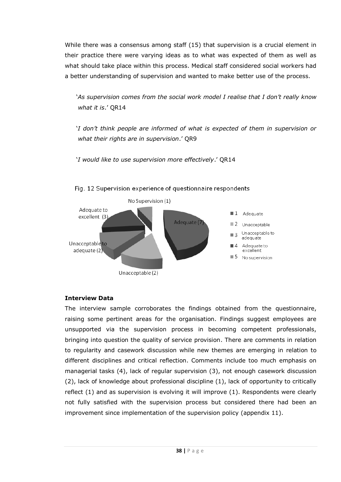While there was a consensus among staff (15) that supervision is a crucial element in their practice there were varying ideas as to what was expected of them as well as what should take place within this process. Medical staff considered social workers had a better understanding of supervision and wanted to make better use of the process.

'*As supervision comes from the social work model I realise that I don"t really know what it is*.' QR14

'*I don"t think people are informed of what is expected of them in supervision or what their rights are in supervision*.' QR9

'*I would like to use supervision more effectively*.' QR14

![](_page_46_Figure_4.jpeg)

Fig. 12 Supervision experience of questionnaire respondents

#### **Interview Data**

The interview sample corroborates the findings obtained from the questionnaire, raising some pertinent areas for the organisation. Findings suggest employees are unsupported via the supervision process in becoming competent professionals, bringing into question the quality of service provision. There are comments in relation to regularity and casework discussion while new themes are emerging in relation to different disciplines and critical reflection. Comments include too much emphasis on managerial tasks (4), lack of regular supervision (3), not enough casework discussion (2), lack of knowledge about professional discipline (1), lack of opportunity to critically reflect (1) and as supervision is evolving it will improve (1). Respondents were clearly not fully satisfied with the supervision process but considered there had been an improvement since implementation of the supervision policy (appendix 11).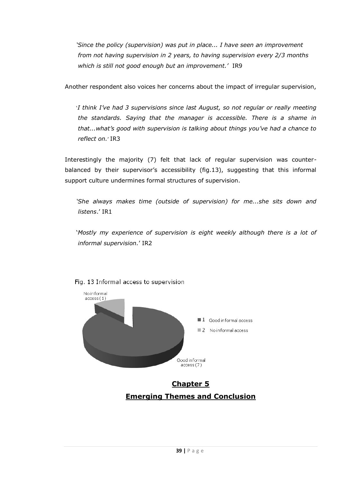*"Since the policy (supervision) was put in place... I have seen an improvement from not having supervision in 2 years, to having supervision every 2/3 months which is still not good enough but an improvement."* IR9

Another respondent also voices her concerns about the impact of irregular supervision,

'*I think I"ve had 3 supervisions since last August, so not regular or really meeting the standards. Saying that the manager is accessible. There is a shame in that...what"s good with supervision is talking about things you"ve had a chance to reflect on.*' IR3

Interestingly the majority (7) felt that lack of regular supervision was counterbalanced by their supervisor's accessibility (fig.13), suggesting that this informal support culture undermines formal structures of supervision.

*"She always makes time (outside of supervision) for me...she sits down and listens*.' IR1

'*Mostly my experience of supervision is eight weekly although there is a lot of informal supervision.*' IR2

![](_page_47_Figure_6.jpeg)

Fig. 13 Informal access to supervision

# **Chapter 5 Emerging Themes and Conclusion**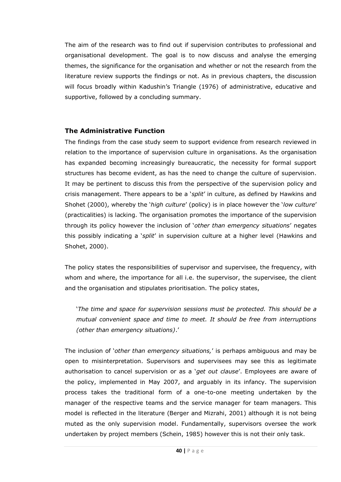The aim of the research was to find out if supervision contributes to professional and organisational development. The goal is to now discuss and analyse the emerging themes, the significance for the organisation and whether or not the research from the literature review supports the findings or not. As in previous chapters, the discussion will focus broadly within Kadushin's Triangle (1976) of administrative, educative and supportive, followed by a concluding summary.

#### **The Administrative Function**

The findings from the case study seem to support evidence from research reviewed in relation to the importance of supervision culture in organisations. As the organisation has expanded becoming increasingly bureaucratic, the necessity for formal support structures has become evident, as has the need to change the culture of supervision. It may be pertinent to discuss this from the perspective of the supervision policy and crisis management. There appears to be a '*split*' in culture, as defined by Hawkins and Shohet (2000), whereby the '*high culture*' (policy) is in place however the '*low culture*' (practicalities) is lacking. The organisation promotes the importance of the supervision through its policy however the inclusion of '*other than emergency situations*' negates this possibly indicating a '*split*' in supervision culture at a higher level (Hawkins and Shohet, 2000).

The policy states the responsibilities of supervisor and supervisee, the frequency, with whom and where, the importance for all i.e. the supervisor, the supervisee, the client and the organisation and stipulates prioritisation. The policy states,

'*The time and space for supervision sessions must be protected. This should be a mutual convenient space and time to meet. It should be free from interruptions (other than emergency situations)*.'

The inclusion of '*other than emergency situations,*' is perhaps ambiguous and may be open to misinterpretation. Supervisors and supervisees may see this as legitimate authorisation to cancel supervision or as a '*get out clause*'. Employees are aware of the policy, implemented in May 2007, and arguably in its infancy. The supervision process takes the traditional form of a one-to-one meeting undertaken by the manager of the respective teams and the service manager for team managers. This model is reflected in the literature (Berger and Mizrahi, 2001) although it is not being muted as the only supervision model. Fundamentally, supervisors oversee the work undertaken by project members (Schein, 1985) however this is not their only task.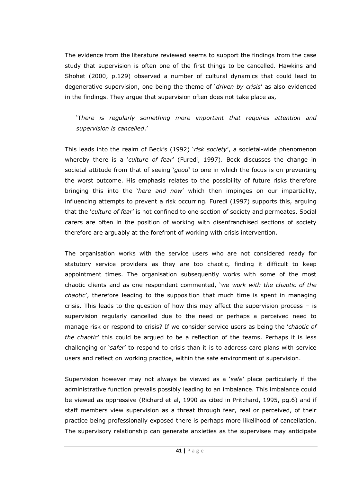The evidence from the literature reviewed seems to support the findings from the case study that supervision is often one of the first things to be cancelled. Hawkins and Shohet (2000, p.129) observed a number of cultural dynamics that could lead to degenerative supervision, one being the theme of '*driven by crisis*' as also evidenced in the findings. They argue that supervision often does not take place as,

### 'T*here is regularly something more important that requires attention and supervision is cancelled*.'

This leads into the realm of Beck's (1992) '*risk society*', a societal-wide phenomenon whereby there is a '*culture of fear*' (Furedi, 1997). Beck discusses the change in societal attitude from that of seeing '*good*' to one in which the focus is on preventing the worst outcome. His emphasis relates to the possibility of future risks therefore bringing this into the '*here and now*' which then impinges on our impartiality, influencing attempts to prevent a risk occurring. Furedi (1997) supports this, arguing that the '*culture of fear*' is not confined to one section of society and permeates. Social carers are often in the position of working with disenfranchised sections of society therefore are arguably at the forefront of working with crisis intervention.

The organisation works with the service users who are not considered ready for statutory service providers as they are too chaotic, finding it difficult to keep appointment times. The organisation subsequently works with some of the most chaotic clients and as one respondent commented, '*we work with the chaotic of the chaotic*', therefore leading to the supposition that much time is spent in managing crisis. This leads to the question of how this may affect the supervision process  $-$  is supervision regularly cancelled due to the need or perhaps a perceived need to manage risk or respond to crisis? If we consider service users as being the '*chaotic of the chaotic*' this could be argued to be a reflection of the teams. Perhaps it is less challenging or '*safer*' to respond to crisis than it is to address care plans with service users and reflect on working practice, within the safe environment of supervision.

Supervision however may not always be viewed as a '*safe*' place particularly if the administrative function prevails possibly leading to an imbalance. This imbalance could be viewed as oppressive (Richard et al, 1990 as cited in Pritchard, 1995, pg.6) and if staff members view supervision as a threat through fear, real or perceived, of their practice being professionally exposed there is perhaps more likelihood of cancellation. The supervisory relationship can generate anxieties as the supervisee may anticipate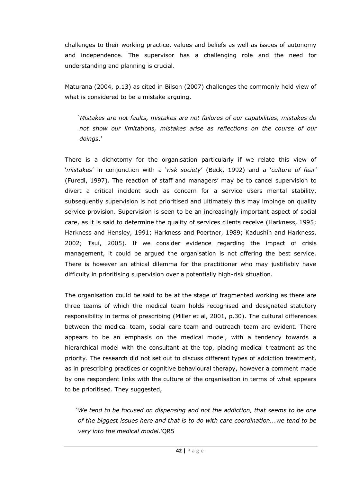challenges to their working practice, values and beliefs as well as issues of autonomy and independence. The supervisor has a challenging role and the need for understanding and planning is crucial.

Maturana (2004, p.13) as cited in Bilson (2007) challenges the commonly held view of what is considered to be a mistake arguing,

'*Mistakes are not faults, mistakes are not failures of our capabilities, mistakes do not show our limitations, mistakes arise as reflections on the course of our doings*.'

There is a dichotomy for the organisation particularly if we relate this view of '*mistakes*' in conjunction with a '*risk society*' (Beck, 1992) and a '*culture of fear*' (Furedi, 1997). The reaction of staff and managers' may be to cancel supervision to divert a critical incident such as concern for a service users mental stability, subsequently supervision is not prioritised and ultimately this may impinge on quality service provision. Supervision is seen to be an increasingly important aspect of social care, as it is said to determine the quality of services clients receive (Harkness, 1995; Harkness and Hensley, 1991; Harkness and Poertner, 1989; Kadushin and Harkness, 2002; Tsui, 2005). If we consider evidence regarding the impact of crisis management, it could be argued the organisation is not offering the best service. There is however an ethical dilemma for the practitioner who may justifiably have difficulty in prioritising supervision over a potentially high-risk situation.

The organisation could be said to be at the stage of fragmented working as there are three teams of which the medical team holds recognised and designated statutory responsibility in terms of prescribing (Miller et al, 2001, p.30). The cultural differences between the medical team, social care team and outreach team are evident. There appears to be an emphasis on the medical model, with a tendency towards a hierarchical model with the consultant at the top, placing medical treatment as the priority. The research did not set out to discuss different types of addiction treatment, as in prescribing practices or cognitive behavioural therapy, however a comment made by one respondent links with the culture of the organisation in terms of what appears to be prioritised. They suggested,

*'We tend to be focused on dispensing and not the addiction, that seems to be one of the biggest issues here and that is to do with care coordination...we tend to be very into the medical model*.'QR5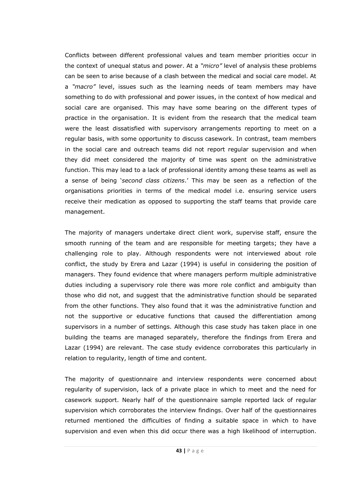Conflicts between different professional values and team member priorities occur in the context of unequal status and power. At a *"micro"* level of analysis these problems can be seen to arise because of a clash between the medical and social care model. At a *"macro"* level, issues such as the learning needs of team members may have something to do with professional and power issues, in the context of how medical and social care are organised. This may have some bearing on the different types of practice in the organisation. It is evident from the research that the medical team were the least dissatisfied with supervisory arrangements reporting to meet on a regular basis, with some opportunity to discuss casework. In contrast, team members in the social care and outreach teams did not report regular supervision and when they did meet considered the majority of time was spent on the administrative function. This may lead to a lack of professional identity among these teams as well as a sense of being '*second class citizens*.' This may be seen as a reflection of the organisations priorities in terms of the medical model i.e. ensuring service users receive their medication as opposed to supporting the staff teams that provide care management.

The majority of managers undertake direct client work, supervise staff, ensure the smooth running of the team and are responsible for meeting targets; they have a challenging role to play. Although respondents were not interviewed about role conflict, the study by Erera and Lazar (1994) is useful in considering the position of managers. They found evidence that where managers perform multiple administrative duties including a supervisory role there was more role conflict and ambiguity than those who did not, and suggest that the administrative function should be separated from the other functions. They also found that it was the administrative function and not the supportive or educative functions that caused the differentiation among supervisors in a number of settings. Although this case study has taken place in one building the teams are managed separately, therefore the findings from Erera and Lazar (1994) are relevant. The case study evidence corroborates this particularly in relation to regularity, length of time and content.

The majority of questionnaire and interview respondents were concerned about regularity of supervision, lack of a private place in which to meet and the need for casework support. Nearly half of the questionnaire sample reported lack of regular supervision which corroborates the interview findings. Over half of the questionnaires returned mentioned the difficulties of finding a suitable space in which to have supervision and even when this did occur there was a high likelihood of interruption.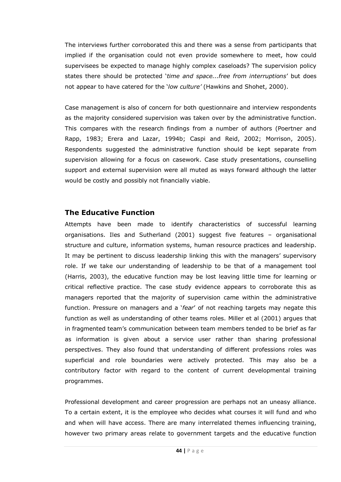The interviews further corroborated this and there was a sense from participants that implied if the organisation could not even provide somewhere to meet, how could supervisees be expected to manage highly complex caseloads? The supervision policy states there should be protected '*time and space...free from interruptions*' but does not appear to have catered for the '*low culture"* (Hawkins and Shohet, 2000).

Case management is also of concern for both questionnaire and interview respondents as the majority considered supervision was taken over by the administrative function. This compares with the research findings from a number of authors (Poertner and Rapp, 1983; Erera and Lazar, 1994b; Caspi and Reid, 2002; Morrison, 2005). Respondents suggested the administrative function should be kept separate from supervision allowing for a focus on casework. Case study presentations, counselling support and external supervision were all muted as ways forward although the latter would be costly and possibly not financially viable.

### **The Educative Function**

Attempts have been made to identify characteristics of successful learning organisations. Iles and Sutherland (2001) suggest five features – organisational structure and culture, information systems, human resource practices and leadership. It may be pertinent to discuss leadership linking this with the managers' supervisory role. If we take our understanding of leadership to be that of a management tool (Harris, 2003), the educative function may be lost leaving little time for learning or critical reflective practice. The case study evidence appears to corroborate this as managers reported that the majority of supervision came within the administrative function. Pressure on managers and a '*fear*' of not reaching targets may negate this function as well as understanding of other teams roles. Miller et al (2001) argues that in fragmented team's communication between team members tended to be brief as far as information is given about a service user rather than sharing professional perspectives. They also found that understanding of different professions roles was superficial and role boundaries were actively protected. This may also be a contributory factor with regard to the content of current developmental training programmes.

Professional development and career progression are perhaps not an uneasy alliance. To a certain extent, it is the employee who decides what courses it will fund and who and when will have access. There are many interrelated themes influencing training, however two primary areas relate to government targets and the educative function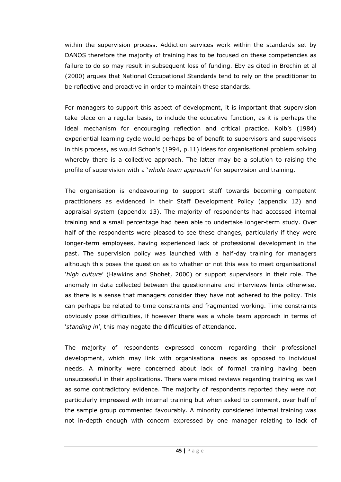within the supervision process. Addiction services work within the standards set by DANOS therefore the majority of training has to be focused on these competencies as failure to do so may result in subsequent loss of funding. Eby as cited in Brechin et al (2000) argues that National Occupational Standards tend to rely on the practitioner to be reflective and proactive in order to maintain these standards.

For managers to support this aspect of development, it is important that supervision take place on a regular basis, to include the educative function, as it is perhaps the ideal mechanism for encouraging reflection and critical practice. Kolb's (1984) experiential learning cycle would perhaps be of benefit to supervisors and supervisees in this process, as would Schon's (1994, p.11) ideas for organisational problem solving whereby there is a collective approach. The latter may be a solution to raising the profile of supervision with a '*whole team approach*' for supervision and training.

The organisation is endeavouring to support staff towards becoming competent practitioners as evidenced in their Staff Development Policy (appendix 12) and appraisal system (appendix 13). The majority of respondents had accessed internal training and a small percentage had been able to undertake longer-term study. Over half of the respondents were pleased to see these changes, particularly if they were longer-term employees, having experienced lack of professional development in the past. The supervision policy was launched with a half-day training for managers although this poses the question as to whether or not this was to meet organisational '*high culture*' (Hawkins and Shohet, 2000) or support supervisors in their role. The anomaly in data collected between the questionnaire and interviews hints otherwise, as there is a sense that managers consider they have not adhered to the policy. This can perhaps be related to time constraints and fragmented working. Time constraints obviously pose difficulties, if however there was a whole team approach in terms of '*standing in*', this may negate the difficulties of attendance.

The majority of respondents expressed concern regarding their professional development, which may link with organisational needs as opposed to individual needs. A minority were concerned about lack of formal training having been unsuccessful in their applications. There were mixed reviews regarding training as well as some contradictory evidence. The majority of respondents reported they were not particularly impressed with internal training but when asked to comment, over half of the sample group commented favourably. A minority considered internal training was not in-depth enough with concern expressed by one manager relating to lack of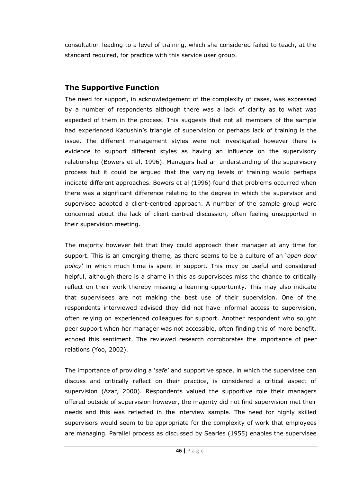consultation leading to a level of training, which she considered failed to teach, at the standard required, for practice with this service user group.

### **The Supportive Function**

The need for support, in acknowledgement of the complexity of cases, was expressed by a number of respondents although there was a lack of clarity as to what was expected of them in the process. This suggests that not all members of the sample had experienced Kadushin's triangle of supervision or perhaps lack of training is the issue. The different management styles were not investigated however there is evidence to support different styles as having an influence on the supervisory relationship (Bowers et al, 1996). Managers had an understanding of the supervisory process but it could be argued that the varying levels of training would perhaps indicate different approaches. Bowers et al (1996) found that problems occurred when there was a significant difference relating to the degree in which the supervisor and supervisee adopted a client-centred approach. A number of the sample group were concerned about the lack of client-centred discussion, often feeling unsupported in their supervision meeting.

The majority however felt that they could approach their manager at any time for support. This is an emerging theme, as there seems to be a culture of an '*open door policy*' in which much time is spent in support. This may be useful and considered helpful, although there is a shame in this as supervisees miss the chance to critically reflect on their work thereby missing a learning opportunity. This may also indicate that supervisees are not making the best use of their supervision. One of the respondents interviewed advised they did not have informal access to supervision, often relying on experienced colleagues for support. Another respondent who sought peer support when her manager was not accessible, often finding this of more benefit, echoed this sentiment. The reviewed research corroborates the importance of peer relations (Yoo, 2002).

The importance of providing a '*safe*' and supportive space, in which the supervisee can discuss and critically reflect on their practice, is considered a critical aspect of supervision (Azar, 2000). Respondents valued the supportive role their managers offered outside of supervision however, the majority did not find supervision met their needs and this was reflected in the interview sample. The need for highly skilled supervisors would seem to be appropriate for the complexity of work that employees are managing. Parallel process as discussed by Searles (1955) enables the supervisee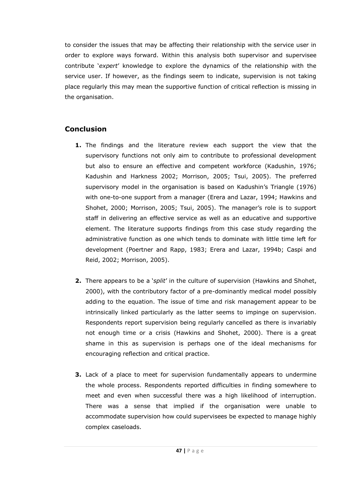to consider the issues that may be affecting their relationship with the service user in order to explore ways forward. Within this analysis both supervisor and supervisee contribute '*expert*' knowledge to explore the dynamics of the relationship with the service user. If however, as the findings seem to indicate, supervision is not taking place regularly this may mean the supportive function of critical reflection is missing in the organisation.

## **Conclusion**

- **1.** The findings and the literature review each support the view that the supervisory functions not only aim to contribute to professional development but also to ensure an effective and competent workforce (Kadushin, 1976; Kadushin and Harkness 2002; Morrison, 2005; Tsui, 2005). The preferred supervisory model in the organisation is based on Kadushin's Triangle (1976) with one-to-one support from a manager (Erera and Lazar, 1994; Hawkins and Shohet, 2000; Morrison, 2005; Tsui, 2005). The manager's role is to support staff in delivering an effective service as well as an educative and supportive element. The literature supports findings from this case study regarding the administrative function as one which tends to dominate with little time left for development (Poertner and Rapp, 1983; Erera and Lazar, 1994b; Caspi and Reid, 2002; Morrison, 2005).
- **2.** There appears to be a '*split*' in the culture of supervision (Hawkins and Shohet, 2000), with the contributory factor of a pre-dominantly medical model possibly adding to the equation. The issue of time and risk management appear to be intrinsically linked particularly as the latter seems to impinge on supervision. Respondents report supervision being regularly cancelled as there is invariably not enough time or a crisis (Hawkins and Shohet, 2000). There is a great shame in this as supervision is perhaps one of the ideal mechanisms for encouraging reflection and critical practice.
- **3.** Lack of a place to meet for supervision fundamentally appears to undermine the whole process. Respondents reported difficulties in finding somewhere to meet and even when successful there was a high likelihood of interruption. There was a sense that implied if the organisation were unable to accommodate supervision how could supervisees be expected to manage highly complex caseloads.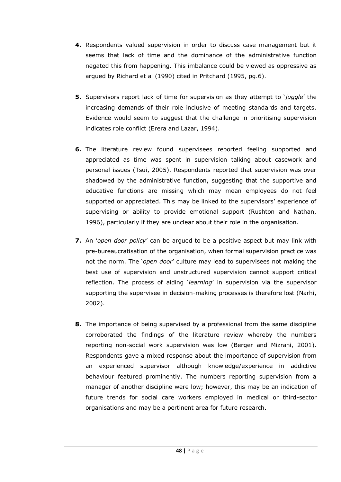- **4.** Respondents valued supervision in order to discuss case management but it seems that lack of time and the dominance of the administrative function negated this from happening. This imbalance could be viewed as oppressive as argued by Richard et al (1990) cited in Pritchard (1995, pg.6).
- **5.** Supervisors report lack of time for supervision as they attempt to '*juggle*' the increasing demands of their role inclusive of meeting standards and targets. Evidence would seem to suggest that the challenge in prioritising supervision indicates role conflict (Erera and Lazar, 1994).
- **6.** The literature review found supervisees reported feeling supported and appreciated as time was spent in supervision talking about casework and personal issues (Tsui, 2005). Respondents reported that supervision was over shadowed by the administrative function, suggesting that the supportive and educative functions are missing which may mean employees do not feel supported or appreciated. This may be linked to the supervisors' experience of supervising or ability to provide emotional support (Rushton and Nathan, 1996), particularly if they are unclear about their role in the organisation.
- **7.** An '*open door policy*' can be argued to be a positive aspect but may link with pre-bureaucratisation of the organisation, when formal supervision practice was not the norm. The '*open door*' culture may lead to supervisees not making the best use of supervision and unstructured supervision cannot support critical reflection. The process of aiding '*learning*' in supervision via the supervisor supporting the supervisee in decision-making processes is therefore lost (Narhi, 2002).
- **8.** The importance of being supervised by a professional from the same discipline corroborated the findings of the literature review whereby the numbers reporting non-social work supervision was low (Berger and Mizrahi, 2001). Respondents gave a mixed response about the importance of supervision from an experienced supervisor although knowledge/experience in addictive behaviour featured prominently. The numbers reporting supervision from a manager of another discipline were low; however, this may be an indication of future trends for social care workers employed in medical or third-sector organisations and may be a pertinent area for future research.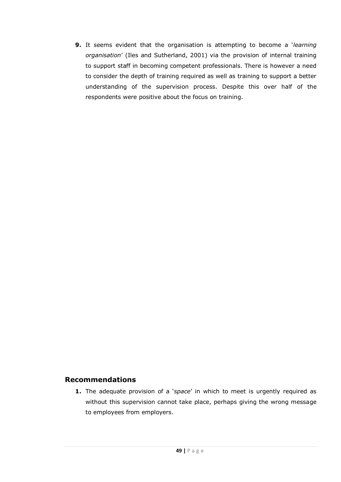**9.** It seems evident that the organisation is attempting to become a '*learning organisation*' (Iles and Sutherland, 2001) via the provision of internal training to support staff in becoming competent professionals. There is however a need to consider the depth of training required as well as training to support a better understanding of the supervision process. Despite this over half of the respondents were positive about the focus on training.

#### **Recommendations**

**1.** The adequate provision of a '*space*' in which to meet is urgently required as without this supervision cannot take place, perhaps giving the wrong message to employees from employers.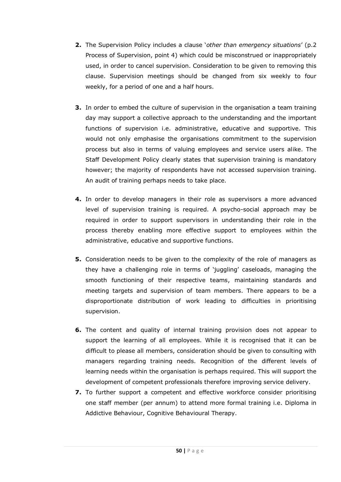- **2.** The Supervision Policy includes a clause '*other than emergency situations*' (p.2 Process of Supervision, point 4) which could be misconstrued or inappropriately used, in order to cancel supervision. Consideration to be given to removing this clause. Supervision meetings should be changed from six weekly to four weekly, for a period of one and a half hours.
- **3.** In order to embed the culture of supervision in the organisation a team training day may support a collective approach to the understanding and the important functions of supervision i.e. administrative, educative and supportive. This would not only emphasise the organisations commitment to the supervision process but also in terms of valuing employees and service users alike. The Staff Development Policy clearly states that supervision training is mandatory however; the majority of respondents have not accessed supervision training. An audit of training perhaps needs to take place.
- **4.** In order to develop managers in their role as supervisors a more advanced level of supervision training is required. A psycho-social approach may be required in order to support supervisors in understanding their role in the process thereby enabling more effective support to employees within the administrative, educative and supportive functions.
- **5.** Consideration needs to be given to the complexity of the role of managers as they have a challenging role in terms of 'juggling' caseloads, managing the smooth functioning of their respective teams, maintaining standards and meeting targets and supervision of team members. There appears to be a disproportionate distribution of work leading to difficulties in prioritising supervision.
- **6.** The content and quality of internal training provision does not appear to support the learning of all employees. While it is recognised that it can be difficult to please all members, consideration should be given to consulting with managers regarding training needs. Recognition of the different levels of learning needs within the organisation is perhaps required. This will support the development of competent professionals therefore improving service delivery.
- **7.** To further support a competent and effective workforce consider prioritising one staff member (per annum) to attend more formal training i.e. Diploma in Addictive Behaviour, Cognitive Behavioural Therapy.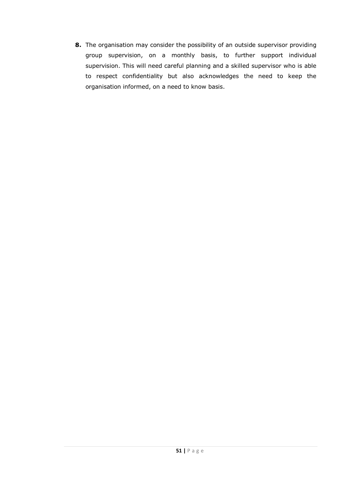**8.** The organisation may consider the possibility of an outside supervisor providing group supervision, on a monthly basis, to further support individual supervision. This will need careful planning and a skilled supervisor who is able to respect confidentiality but also acknowledges the need to keep the organisation informed, on a need to know basis.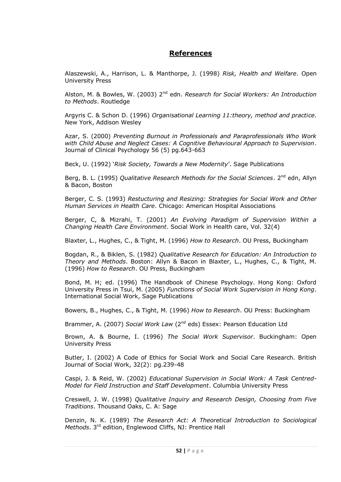#### **References**

Alaszewski, A., Harrison, L. & Manthorpe, J. (1998) *Risk, Health and Welfare*. Open University Press

Alston, M. & Bowles, W. (2003) 2nd edn. *Research for Social Workers: An Introduction to Methods*. Routledge

Argyris C. & Schon D. (1996) *Organisational Learning 11:theory, method and practice*. New York, Addison Wesley

Azar, S. (2000) *Preventing Burnout in Professionals and Paraprofessionals Who Work with Child Abuse and Neglect Cases: A Cognitive Behavioural Approach to Supervision*. Journal of Clinical Psychology 56 (5) pg.643-663

Beck, U. (1992) '*Risk Society, Towards a New Modernity*'. Sage Publications

Berg, B. L. (1995) *Qualitative Research Methods for the Social Sciences*. 2<sup>nd</sup> edn. Allyn & Bacon, Boston

Berger, C. S. (1993) *Restucturing and Resizing: Strategies for Social Work and Other Human Services in Health Care*. Chicago: American Hospital Associations

Berger, C, & Mizrahi, T. (2001) *An Evolving Paradigm of Supervision Within a Changing Health Care Environment*. Social Work in Health care, Vol. 32(4)

Blaxter, L., Hughes, C., & Tight, M. (1996) *How to Research*. OU Press, Buckingham

Bogdan, R., & Biklen, S. (1982) *Qualitative Research for Education: An Introduction to Theory and Methods*. Boston: Allyn & Bacon in Blaxter, L., Hughes, C., & Tight, M. (1996) *How to Research*. OU Press, Buckingham

Bond, M. H; ed. (1996) The Handbook of Chinese Psychology. Hong Kong: Oxford University Press in Tsui, M. (2005) *Functions of Social Work Supervision in Hong Kong*. International Social Work, Sage Publications

Bowers, B., Hughes, C., & Tight, M. (1996) *How to Research*. OU Press: Buckingham

Brammer, A. (2007) *Social Work Law* (2<sup>nd</sup> eds) Essex: Pearson Education Ltd

Brown, A. & Bourne, I. (1996) *The Social Work Supervisor*. Buckingham: Open University Press

Butler, I. (2002) A Code of Ethics for Social Work and Social Care Research. British Journal of Social Work, 32(2): pg.239-48

Caspi, J. & Reid, W. (2002) *Educational Supervision in Social Work: A Task Centred-Model for Field Instruction and Staff Development*. Columbia University Press

Creswell, J. W. (1998) *Qualitative Inquiry and Research Design, Choosing from Five Traditions*. Thousand Oaks, C. A: Sage

Denzin, N. K. (1989) *The Research Act: A Theoretical Introduction to Sociological Methods*. 3rd edition, Englewood Cliffs, NJ: Prentice Hall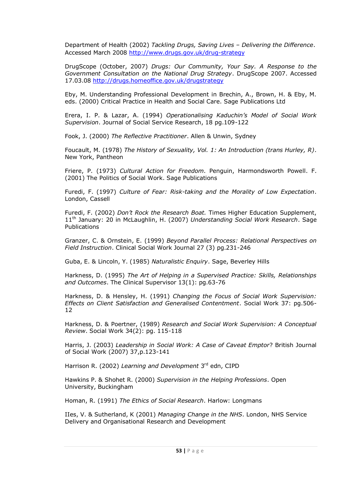Department of Health (2002) *Tackling Drugs, Saving Lives – Delivering the Difference*. Accessed March 2008 <http://www.drugs.gov.uk/drug-strategy>

DrugScope (October, 2007) *Drugs: Our Community, Your Say. A Response to the Government Consultation on the National Drug Strategy*. DrugScope 2007. Accessed 17.03.08<http://drugs.homeoffice.gov.uk/drugstrategy>

Eby, M. Understanding Professional Development in Brechin, A., Brown, H. & Eby, M. eds. (2000) Critical Practice in Health and Social Care. Sage Publications Ltd

Erera, I. P. & Lazar, A. (1994) *Operationalising Kaduchin"s Model of Social Work Supervision*. Journal of Social Service Research, 18 pg.109-122

Fook, J. (2000) *The Reflective Practitioner*. Allen & Unwin, Sydney

Foucault, M. (1978) *The History of Sexuality, Vol. 1: An Introduction (trans Hurley, R)*. New York, Pantheon

Friere, P. (1973) *Cultural Action for Freedom*. Penguin, Harmondsworth Powell. F. (2001) The Politics of Social Work. Sage Publications

Furedi, F. (1997) *Culture of Fear: Risk-taking and the Morality of Low Expectation*. London, Cassell

Furedi, F. (2002) *Don"t Rock the Research Boat.* Times Higher Education Supplement, 11th January: 20 in McLaughlin, H. (2007) *Understanding Social Work Research*. Sage Publications

Granzer, C. & Ornstein, E. (1999) *Beyond Parallel Process: Relational Perspectives on Field Instruction*. Clinical Social Work Journal 27 (3) pg.231-246

Guba, E. & Lincoln, Y. (1985) *Naturalistic Enquiry*. Sage, Beverley Hills

Harkness, D. (1995) *The Art of Helping in a Supervised Practice: Skills, Relationships and Outcomes*. The Clinical Supervisor 13(1): pg.63-76

Harkness, D. & Hensley, H. (1991) *Changing the Focus of Social Work Supervision: Effects on Client Satisfaction and Generalised Contentment*. Social Work 37: pg.506- 12

Harkness, D. & Poertner, (1989) *Research and Social Work Supervision: A Conceptual Review*. Social Work 34(2): pg. 115-118

Harris, J. (2003) *Leadership in Social Work: A Case of Caveat Emptor*? British Journal of Social Work (2007) 37,p.123-141

Harrison R. (2002) Learning and Development 3rd edn, CIPD

Hawkins P. & Shohet R. (2000) *Supervision in the Helping Professions*. Open University, Buckingham

Homan, R. (1991) *The Ethics of Social Research*. Harlow: Longmans

IIes, V. & Sutherland, K (2001) *Managing Change in the NHS*. London, NHS Service Delivery and Organisational Research and Development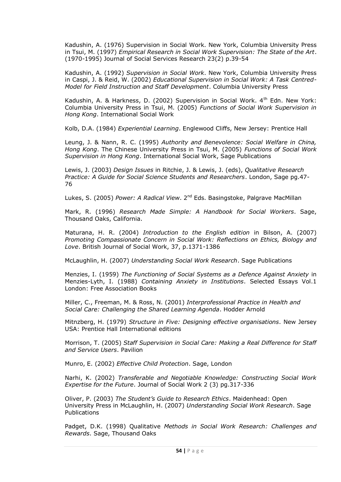Kadushin, A. (1976) Supervision in Social Work. New York, Columbia University Press in Tsui, M. (1997) *Empirical Research in Social Work Supervision: The State of the Art*. (1970-1995) Journal of Social Services Research 23(2) p.39-54

Kadushin, A. (1992) *Supervision in Social Work*. New York, Columbia University Press in Caspi, J. & Reid, W. (2002) *Educational Supervision in Social Work: A Task Centred-Model for Field Instruction and Staff Development*. Columbia University Press

Kadushin, A. & Harkness, D. (2002) Supervision in Social Work. 4<sup>th</sup> Edn. New York: Columbia University Press in Tsui, M. (2005) *Functions of Social Work Supervision in Hong Kong*. International Social Work

Kolb, D.A. (1984) *Experiential Learning*. Englewood Cliffs, New Jersey: Prentice Hall

Leung, J. & Nann, R. C. (1995) *Authority and Benevolence: Social Welfare in China, Hong Kong*. The Chinese University Press in Tsui, M. (2005) *Functions of Social Work Supervision in Hong Kong*. International Social Work, Sage Publications

Lewis, J. (2003) *Design Issues* in Ritchie, J. & Lewis, J. (eds), *Qualitative Research Practice: A Guide for Social Science Students and Researchers*. London, Sage pg.47- 76

Lukes, S. (2005) *Power: A Radical View*. 2<sup>nd</sup> Eds. Basingstoke, Palgrave MacMillan

Mark, R. (1996) *Research Made Simple: A Handbook for Social Workers*. Sage, Thousand Oaks, California.

Maturana, H. R. (2004) *Introduction to the English edition* in Bilson, A. (2007) *Promoting Compassionate Concern in Social Work: Reflections on Ethics, Biology and Love*. British Journal of Social Work, 37, p.1371-1386

McLaughlin, H. (2007) *Understanding Social Work Research*. Sage Publications

Menzies, I. (1959) *The Functioning of Social Systems as a Defence Against Anxiety* in Menzies-Lyth, I. (1988) *Containing Anxiety in Institutions*. Selected Essays Vol.1 London: Free Association Books

Miller, C., Freeman, M. & Ross, N. (2001) *Interprofessional Practice in Health and Social Care: Challenging the Shared Learning Agenda*. Hodder Arnold

Mitnzberg, H. (1979) *Structure in Five: Designing effective organisations*. New Jersey USA: Prentice Hall International editions

Morrison, T. (2005) *Staff Supervision in Social Care: Making a Real Difference for Staff and Service Users*. Pavilion

Munro, E. (2002) *Effective Child Protection*. Sage, London

Narhi, K. (2002) *Transferable and Negotiable Knowledge: Constructing Social Work Expertise for the Future*. Journal of Social Work 2 (3) pg.317-336

Oliver, P. (2003) *The Student"s Guide to Research Ethics*. Maidenhead: Open University Press in McLaughlin, H. (2007) *Understanding Social Work Research*. Sage Publications

Padget, D.K. (1998) Qualitative *Methods in Social Work Research: Challenges and Rewards*. Sage, Thousand Oaks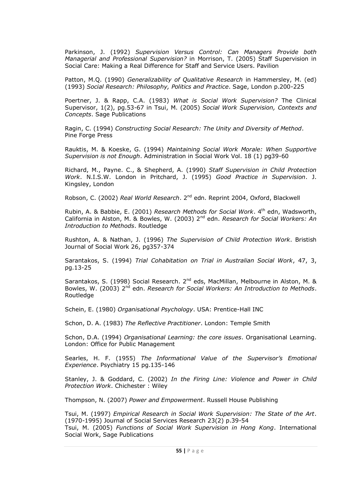Parkinson, J. (1992) *Supervision Versus Control: Can Managers Provide both Managerial and Professional Supervision?* in Morrison, T. (2005) Staff Supervision in Social Care: Making a Real Difference for Staff and Service Users. Pavilion

Patton, M.Q. (1990) *Generalizability of Qualitative Research* in Hammersley, M. (ed) (1993) *Social Research: Philosophy, Politics and Practice*. Sage, London p.200-225

Poertner, J. & Rapp, C.A. (1983) *What is Social Work Supervision?* The Clinical Supervisor, 1(2), pg.53-67 in Tsui, M. (2005) *Social Work Supervision, Contexts and Concepts*. Sage Publications

Ragin, C. (1994) *Constructing Social Research: The Unity and Diversity of Method*. Pine Forge Press

Rauktis, M. & Koeske, G. (1994) *Maintaining Social Work Morale: When Supportive Supervision is not Enough*. Administration in Social Work Vol. 18 (1) pg39-60

Richard, M., Payne. C., & Shepherd, A. (1990) *Staff Supervision in Child Protection Work*. N.I.S.W. London in Pritchard, J. (1995) *Good Practice in Supervision*. J. Kingsley, London

Robson, C. (2002) *Real World Research*. 2nd edn. Reprint 2004, Oxford, Blackwell

Rubin, A. & Babbie, E. (2001) *Research Methods for Social Work*. 4th edn, Wadsworth, California in Alston, M. & Bowles, W. (2003) 2nd edn. *Research for Social Workers: An Introduction to Methods*. Routledge

Rushton, A. & Nathan, J. (1996) *The Supervision of Child Protection Work*. Bristish Journal of Social Work 26, pg357-374

Sarantakos, S. (1994) *Trial Cohabitation on Trial in Australian Social Work*, 47, 3, pg.13-25

Sarantakos, S. (1998) Social Research. 2<sup>nd</sup> eds, MacMillan, Melbourne in Alston, M. & Bowles, W. (2003) 2<sup>nd</sup> edn. *Research for Social Workers: An Introduction to Methods*. **Routledge** 

Schein, E. (1980) *Organisational Psychology*. USA: Prentice-Hall INC

Schon, D. A. (1983) *The Reflective Practitioner*. London: Temple Smith

Schon, D.A. (1994) *Organisational Learning: the core issues*. Organisational Learning. London: Office for Public Management

Searles, H. F. (1955) *The Informational Value of the Supervisor"s Emotional Experience*. Psychiatry 15 pg.135-146

Stanley, J. & Goddard, C. (2002) *In the Firing Line: Violence and Power in Child Protection Work*. Chichester : Wiley

Thompson, N. (2007) *Power and Empowerment*. Russell House Publishing

Tsui, M. (1997) *Empirical Research in Social Work Supervision: The State of the Art*. (1970-1995) Journal of Social Services Research 23(2) p.39-54 Tsui, M. (2005) *Functions of Social Work Supervision in Hong Kong*. International Social Work, Sage Publications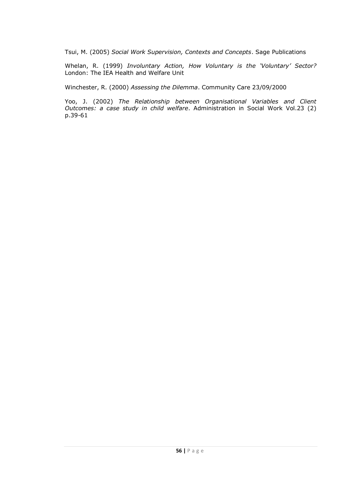Tsui, M. (2005) *Social Work Supervision, Contexts and Concepts*. Sage Publications

Whelan, R. (1999) *Involuntary Action, How Voluntary is the "Voluntary" Sector?* London: The IEA Health and Welfare Unit

Winchester, R. (2000) *Assessing the Dilemma*. Community Care 23/09/2000

Yoo, J. (2002) *The Relationship between Organisational Variables and Client Outcomes: a case study in child welfare*. Administration in Social Work Vol.23 (2) p.39-61